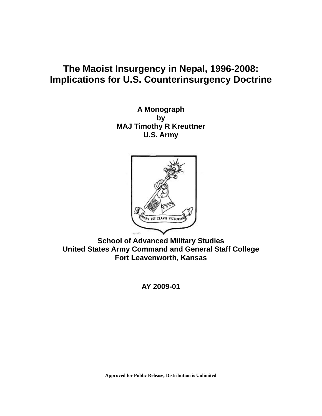# **The Maoist Insurgency in Nepal, 1996-2008: Implications for U.S. Counterinsurgency Doctrine**

**A Monograph by MAJ Timothy R Kreuttner U.S. Army** 



**School of Advanced Military Studies United States Army Command and General Staff College Fort Leavenworth, Kansas** 

**AY 2009-01** 

**Approved for Public Release; Distribution is Unlimited**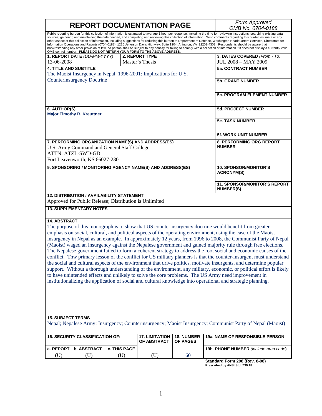|                                                                                                                                                                                                                                                                                                                                                                                                                                                                                                                                                                                                                                                                                                                                                                                                                                                                                                                                                                                                                                                                                                                                                                                                  |                                                                                                     |                     | <b>REPORT DOCUMENTATION PAGE</b>                                         |                        | Form Approved<br>OMB No. 0704-0188                                                                                                                                                                                                                                                                                                                                                                                                                                                                                                                                                                                                                                                                                                                                                                                                                                                    |
|--------------------------------------------------------------------------------------------------------------------------------------------------------------------------------------------------------------------------------------------------------------------------------------------------------------------------------------------------------------------------------------------------------------------------------------------------------------------------------------------------------------------------------------------------------------------------------------------------------------------------------------------------------------------------------------------------------------------------------------------------------------------------------------------------------------------------------------------------------------------------------------------------------------------------------------------------------------------------------------------------------------------------------------------------------------------------------------------------------------------------------------------------------------------------------------------------|-----------------------------------------------------------------------------------------------------|---------------------|--------------------------------------------------------------------------|------------------------|---------------------------------------------------------------------------------------------------------------------------------------------------------------------------------------------------------------------------------------------------------------------------------------------------------------------------------------------------------------------------------------------------------------------------------------------------------------------------------------------------------------------------------------------------------------------------------------------------------------------------------------------------------------------------------------------------------------------------------------------------------------------------------------------------------------------------------------------------------------------------------------|
|                                                                                                                                                                                                                                                                                                                                                                                                                                                                                                                                                                                                                                                                                                                                                                                                                                                                                                                                                                                                                                                                                                                                                                                                  |                                                                                                     |                     | OMB control number. PLEASE DO NOT RETURN YOUR FORM TO THE ABOVE ADDRESS. |                        | Public reporting burden for this collection of information is estimated to average 1 hour per response, including the time for reviewing instructions, searching existing data<br>sources, gathering and maintaining the data needed, and completing and reviewing this collection of information. Send comments regarding this burden estimate or any<br>other aspect of this collection of information, including suggestions for reducing this burden to Department of Defense, Washington Headquarters Services, Directorate for<br>Information Operations and Reports (0704-0188), 1215 Jefferson Davis Highway, Suite 1204, Arlington, VA 22202-4302. Respondents should be aware that<br>notwithstanding any other provision of law, no person shall be subject to any penalty for failing to comply with a collection of information if it does not display a currently valid |
| 13-06-2008                                                                                                                                                                                                                                                                                                                                                                                                                                                                                                                                                                                                                                                                                                                                                                                                                                                                                                                                                                                                                                                                                                                                                                                       | 1. REPORT DATE (DD-MM-YYYY)                                                                         |                     | <b>2. REPORT TYPE</b><br>Master's Thesis                                 |                        | 3. DATES COVERED (From - To)<br><b>JUL 2008 - MAY 2009</b>                                                                                                                                                                                                                                                                                                                                                                                                                                                                                                                                                                                                                                                                                                                                                                                                                            |
| <b>4. TITLE AND SUBTITLE</b>                                                                                                                                                                                                                                                                                                                                                                                                                                                                                                                                                                                                                                                                                                                                                                                                                                                                                                                                                                                                                                                                                                                                                                     |                                                                                                     |                     |                                                                          |                        | <b>5a. CONTRACT NUMBER</b>                                                                                                                                                                                                                                                                                                                                                                                                                                                                                                                                                                                                                                                                                                                                                                                                                                                            |
|                                                                                                                                                                                                                                                                                                                                                                                                                                                                                                                                                                                                                                                                                                                                                                                                                                                                                                                                                                                                                                                                                                                                                                                                  | <b>Counterinsurgency Doctrine</b>                                                                   |                     | The Maoist Insurgency in Nepal, 1996-2001: Implications for U.S.         |                        | <b>5b. GRANT NUMBER</b>                                                                                                                                                                                                                                                                                                                                                                                                                                                                                                                                                                                                                                                                                                                                                                                                                                                               |
|                                                                                                                                                                                                                                                                                                                                                                                                                                                                                                                                                                                                                                                                                                                                                                                                                                                                                                                                                                                                                                                                                                                                                                                                  |                                                                                                     |                     |                                                                          |                        | <b>5c. PROGRAM ELEMENT NUMBER</b>                                                                                                                                                                                                                                                                                                                                                                                                                                                                                                                                                                                                                                                                                                                                                                                                                                                     |
| 6. AUTHOR(S)                                                                                                                                                                                                                                                                                                                                                                                                                                                                                                                                                                                                                                                                                                                                                                                                                                                                                                                                                                                                                                                                                                                                                                                     | <b>Major Timothy R. Kreuttner</b>                                                                   |                     |                                                                          |                        | <b>5d. PROJECT NUMBER</b>                                                                                                                                                                                                                                                                                                                                                                                                                                                                                                                                                                                                                                                                                                                                                                                                                                                             |
|                                                                                                                                                                                                                                                                                                                                                                                                                                                                                                                                                                                                                                                                                                                                                                                                                                                                                                                                                                                                                                                                                                                                                                                                  |                                                                                                     |                     |                                                                          |                        | <b>5e. TASK NUMBER</b>                                                                                                                                                                                                                                                                                                                                                                                                                                                                                                                                                                                                                                                                                                                                                                                                                                                                |
|                                                                                                                                                                                                                                                                                                                                                                                                                                                                                                                                                                                                                                                                                                                                                                                                                                                                                                                                                                                                                                                                                                                                                                                                  |                                                                                                     |                     |                                                                          |                        | 5f. WORK UNIT NUMBER                                                                                                                                                                                                                                                                                                                                                                                                                                                                                                                                                                                                                                                                                                                                                                                                                                                                  |
| 7. PERFORMING ORGANIZATION NAME(S) AND ADDRESS(ES)<br>U.S. Army Command and General Staff College<br><b>ATTN: ATZL-SWD-GD</b><br>Fort Leavenworth, KS 66027-2301                                                                                                                                                                                                                                                                                                                                                                                                                                                                                                                                                                                                                                                                                                                                                                                                                                                                                                                                                                                                                                 |                                                                                                     |                     |                                                                          |                        | 8. PERFORMING ORG REPORT<br><b>NUMBER</b>                                                                                                                                                                                                                                                                                                                                                                                                                                                                                                                                                                                                                                                                                                                                                                                                                                             |
|                                                                                                                                                                                                                                                                                                                                                                                                                                                                                                                                                                                                                                                                                                                                                                                                                                                                                                                                                                                                                                                                                                                                                                                                  |                                                                                                     |                     | 9. SPONSORING / MONITORING AGENCY NAME(S) AND ADDRESS(ES)                |                        | <b>10. SPONSOR/MONITOR'S</b><br><b>ACRONYM(S)</b>                                                                                                                                                                                                                                                                                                                                                                                                                                                                                                                                                                                                                                                                                                                                                                                                                                     |
|                                                                                                                                                                                                                                                                                                                                                                                                                                                                                                                                                                                                                                                                                                                                                                                                                                                                                                                                                                                                                                                                                                                                                                                                  |                                                                                                     |                     |                                                                          |                        | 11. SPONSOR/MONITOR'S REPORT<br><b>NUMBER(S)</b>                                                                                                                                                                                                                                                                                                                                                                                                                                                                                                                                                                                                                                                                                                                                                                                                                                      |
|                                                                                                                                                                                                                                                                                                                                                                                                                                                                                                                                                                                                                                                                                                                                                                                                                                                                                                                                                                                                                                                                                                                                                                                                  | 12. DISTRIBUTION / AVAILABILITY STATEMENT<br>Approved for Public Release; Distribution is Unlimited |                     |                                                                          |                        |                                                                                                                                                                                                                                                                                                                                                                                                                                                                                                                                                                                                                                                                                                                                                                                                                                                                                       |
|                                                                                                                                                                                                                                                                                                                                                                                                                                                                                                                                                                                                                                                                                                                                                                                                                                                                                                                                                                                                                                                                                                                                                                                                  | <b>13. SUPPLEMENTARY NOTES</b>                                                                      |                     |                                                                          |                        |                                                                                                                                                                                                                                                                                                                                                                                                                                                                                                                                                                                                                                                                                                                                                                                                                                                                                       |
| <b>14. ABSTRACT</b><br>The purpose of this monograph is to show that US counterinsurgency doctrine would benefit from greater<br>emphasis on social, cultural, and political aspects of the operating environment, using the case of the Maoist<br>insurgency in Nepal as an example. In approximately 12 years, from 1996 to 2008, the Communist Party of Nepal<br>(Maoist) waged an insurgency against the Nepalese government and gained majority rule through free elections.<br>The Nepalese government failed to form a coherent strategy to address the root social and economic causes of the<br>conflict. Thw primary lesson of the conflict for US military planners is that the counter-insurgent must understand<br>the social and cultural aspects of the environment that drive politics, motivate insurgents, and determine popular<br>support. Without a thorough understanding of the environment, any military, economic, or political effort is likely<br>to have unintended effects and unlikely to solve the core problems. The US Army need improvement in<br>institutionalizing the application of social and cultural knowledge into operational and strategic planning. |                                                                                                     |                     |                                                                          |                        |                                                                                                                                                                                                                                                                                                                                                                                                                                                                                                                                                                                                                                                                                                                                                                                                                                                                                       |
| <b>15. SUBJECT TERMS</b>                                                                                                                                                                                                                                                                                                                                                                                                                                                                                                                                                                                                                                                                                                                                                                                                                                                                                                                                                                                                                                                                                                                                                                         |                                                                                                     |                     |                                                                          |                        |                                                                                                                                                                                                                                                                                                                                                                                                                                                                                                                                                                                                                                                                                                                                                                                                                                                                                       |
| Nepal; Nepalese Army; Insurgency; Counterinsurgency; Maoist Insurgency; Communist Party of Nepal (Maoist)                                                                                                                                                                                                                                                                                                                                                                                                                                                                                                                                                                                                                                                                                                                                                                                                                                                                                                                                                                                                                                                                                        |                                                                                                     |                     |                                                                          |                        |                                                                                                                                                                                                                                                                                                                                                                                                                                                                                                                                                                                                                                                                                                                                                                                                                                                                                       |
| <b>16. SECURITY CLASSIFICATION OF:</b>                                                                                                                                                                                                                                                                                                                                                                                                                                                                                                                                                                                                                                                                                                                                                                                                                                                                                                                                                                                                                                                                                                                                                           |                                                                                                     |                     | <b>17. LIMITATION</b><br>OF ABSTRACT                                     | 18. NUMBER<br>OF PAGES | 19a. NAME OF RESPONSIBLE PERSON                                                                                                                                                                                                                                                                                                                                                                                                                                                                                                                                                                                                                                                                                                                                                                                                                                                       |
| a. REPORT<br>(U)                                                                                                                                                                                                                                                                                                                                                                                                                                                                                                                                                                                                                                                                                                                                                                                                                                                                                                                                                                                                                                                                                                                                                                                 | <b>b. ABSTRACT</b><br>(U)                                                                           | c. THIS PAGE<br>(U) | (U)                                                                      | 60                     | 19b. PHONE NUMBER (include area code)                                                                                                                                                                                                                                                                                                                                                                                                                                                                                                                                                                                                                                                                                                                                                                                                                                                 |

**Standard Form 298 (Rev. 8-98) Prescribed by ANSI Std. Z39.18**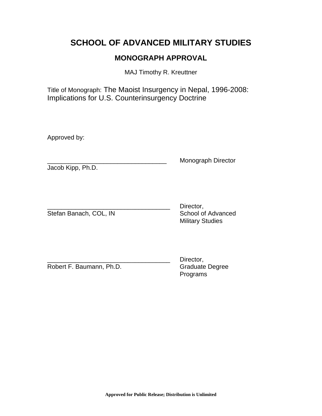# **SCHOOL OF ADVANCED MILITARY STUDIES**

# **MONOGRAPH APPROVAL**

MAJ Timothy R. Kreuttner

Title of Monograph: The Maoist Insurgency in Nepal, 1996-2008: Implications for U.S. Counterinsurgency Doctrine

Approved by:

Jacob Kipp, Ph.D.

Monograph Director

Stefan Banach, COL, IN

Director,<br>School of Advanced Military Studies

Robert F. Baumann, Ph.D. Graduate Degree

Director, Programs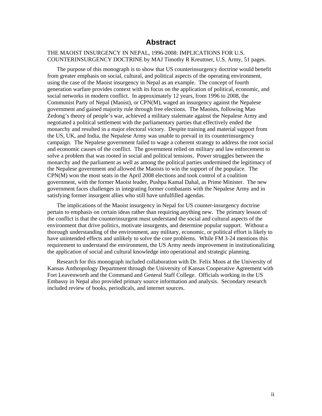### **Abstract**

#### THE MAOIST INSURGENCY IN NEPAL, 1996-2008: IMPLICATIONS FOR U.S. COUNTERINSURGENCY DOCTRINE by MAJ Timothy R Kreuttner, U.S. Army, 51 pages.

The purpose of this monograph is to show that US counterinsurgency doctrine would benefit from greater emphasis on social, cultural, and political aspects of the operating environment, using the case of the Maoist insurgency in Nepal as an example. The concept of fourth generation warfare provides context with its focus on the application of political, economic, and social networks in modern conflict. In approximately 12 years, from 1996 to 2008, the Communist Party of Nepal (Maoist), or CPN(M), waged an insurgency against the Nepalese government and gained majority rule through free elections. The Maoists, following Mao Zedong's theory of people's war, achieved a military stalemate against the Nepalese Army and negotiated a political settlement with the parliamentary parties that effectively ended the monarchy and resulted in a major electoral victory. Despite training and material support from the US, UK, and India, the Nepalese Army was unable to prevail in its counterinsurgency campaign. The Nepalese government failed to wage a coherent strategy to address the root social and economic causes of the conflict. The government relied on military and law enforcement to solve a problem that was rooted in social and political tensions. Power struggles between the monarchy and the parliament as well as among the political parties undermined the legitimacy of the Nepalese government and allowed the Maoists to win the support of the populace. The CPN(M) won the most seats in the April 2008 elections and took control of a coalition government, with the former Maoist leader, Pushpa Kamal Dahal, as Prime Minister. The new government faces challenges in integrating former combatants with the Nepalese Army and in satisfying former insurgent allies who still have unfulfilled agendas.

The implications of the Maoist insurgency in Nepal for US counter-insurgency doctrine pertain to emphasis on certain ideas rather than requiring anything new. The primary lesson of the conflict is that the counterinsurgent must understand the social and cultural aspects of the environment that drive politics, motivate insurgents, and determine popular support. Without a thorough understanding of the environment, any military, economic, or political effort is likely to have unintended effects and unlikely to solve the core problems. While FM 3-24 mentions this requirement to understand the environment, the US Army needs improvement in institutionalizing the application of social and cultural knowledge into operational and strategic planning.

Research for this monograph included collaboration with Dr. Felix Moos at the University of Kansas Anthropology Department through the University of Kansas Cooperative Agreement with Fort Leavenworth and the Command and General Staff College. Officials working in the US Embassy in Nepal also provided primary source information and analysis. Secondary research included review of books, periodicals, and internet sources.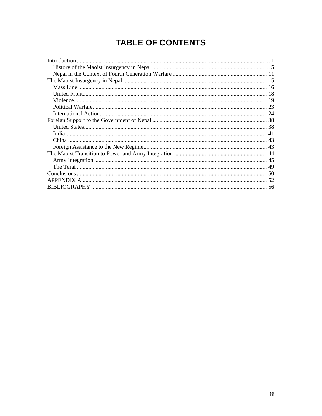# **TABLE OF CONTENTS**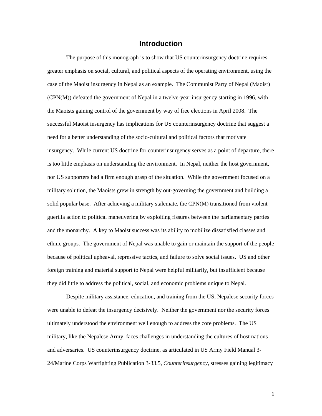# **Introduction**

<span id="page-5-0"></span>The purpose of this monograph is to show that US counterinsurgency doctrine requires greater emphasis on social, cultural, and political aspects of the operating environment, using the case of the Maoist insurgency in Nepal as an example. The Communist Party of Nepal (Maoist) (CPN(M)) defeated the government of Nepal in a twelve-year insurgency starting in 1996, with the Maoists gaining control of the government by way of free elections in April 2008. The successful Maoist insurgency has implications for US counterinsurgency doctrine that suggest a need for a better understanding of the socio-cultural and political factors that motivate insurgency. While current US doctrine for counterinsurgency serves as a point of departure, there is too little emphasis on understanding the environment. In Nepal, neither the host government, nor US supporters had a firm enough grasp of the situation. While the government focused on a military solution, the Maoists grew in strength by out-governing the government and building a solid popular base. After achieving a military stalemate, the CPN(M) transitioned from violent guerilla action to political maneuvering by exploiting fissures between the parliamentary parties and the monarchy. A key to Maoist success was its ability to mobilize dissatisfied classes and ethnic groups. The government of Nepal was unable to gain or maintain the support of the people because of political upheaval, repressive tactics, and failure to solve social issues. US and other foreign training and material support to Nepal were helpful militarily, but insufficient because they did little to address the political, social, and economic problems unique to Nepal.

Despite military assistance, education, and training from the US, Nepalese security forces were unable to defeat the insurgency decisively. Neither the government nor the security forces ultimately understood the environment well enough to address the core problems. The US military, like the Nepalese Army, faces challenges in understanding the cultures of host nations and adversaries. US counterinsurgency doctrine, as articulated in US Army Field Manual 3- 24/Marine Corps Warfighting Publication 3-33.5, *Counterinsurgency,* stresses gaining legitimacy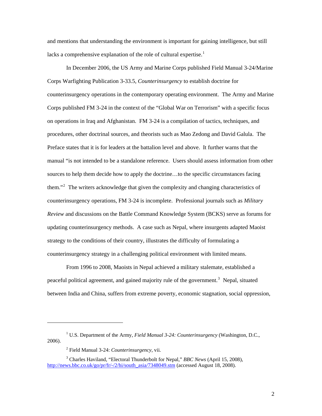and mentions that understanding the environment is important for gaining intelligence, but still lacks a comprehensive explanation of the role of cultural expertise.<sup>[1](#page-6-0)</sup>

In December 2006, the US Army and Marine Corps published Field Manual 3-24/Marine Corps Warfighting Publication 3-33.5, *Counterinsurgency* to establish doctrine for counterinsurgency operations in the contemporary operating environment. The Army and Marine Corps published FM 3-24 in the context of the "Global War on Terrorism" with a specific focus on operations in Iraq and Afghanistan. FM 3-24 is a compilation of tactics, techniques, and procedures, other doctrinal sources, and theorists such as Mao Zedong and David Galula. The Preface states that it is for leaders at the battalion level and above. It further warns that the manual "is not intended to be a standalone reference. Users should assess information from other sources to help them decide how to apply the doctrine...to the specific circumstances facing them."<sup>[2](#page-6-1)</sup> The writers acknowledge that given the complexity and changing characteristics of counterinsurgency operations, FM 3-24 is incomplete. Professional journals such as *Military Review* and discussions on the Battle Command Knowledge System (BCKS) serve as forums for updating counterinsurgency methods. A case such as Nepal, where insurgents adapted Maoist strategy to the conditions of their country, illustrates the difficulty of formulating a counterinsurgency strategy in a challenging political environment with limited means.

From 1996 to 2008, Maoists in Nepal achieved a military stalemate, established a peaceful political agreement, and gained majority rule of the government.<sup>[3](#page-6-2)</sup> Nepal, situated between India and China, suffers from extreme poverty, economic stagnation, social oppression,

 $\overline{a}$ 

<span id="page-6-0"></span><sup>&</sup>lt;sup>1</sup> U.S. Department of the Army, *Field Manual 3-24: Counterinsurgency* (Washington, D.C., 2006).

<sup>2</sup> Field Manual 3-24: *Counterinsurgency*, vii.

<span id="page-6-2"></span><span id="page-6-1"></span><sup>3</sup> Charles Haviland, "Electoral Thunderbolt for Nepal," *BBC News* (April 15, 2008), [http://news.bbc.co.uk/go/pr/fr/-/2/hi/south\\_asia/7348049.stm](http://news.bbc.co.uk/go/pr/fr/-/2/hi/south_asia/7348049.stm) (accessed August 18, 2008).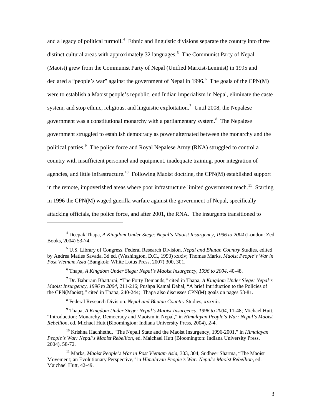and a legacy of political turmoil.<sup>[4](#page-7-0)</sup> Ethnic and linguistic divisions separate the country into three distinct cultural areas with approximately 32 languages.<sup>[5](#page-7-1)</sup> The Communist Party of Nepal (Maoist) grew from the Communist Party of Nepal (Unified Marxist-Leninist) in 1995 and declared a "people's war" against the government of Nepal in 199[6](#page-7-2).<sup>6</sup> The goals of the CPN(M) were to establish a Maoist people's republic, end Indian imperialism in Nepal, eliminate the caste system, and stop ethnic, religious, and linguistic exploitation.<sup>[7](#page-7-3)</sup> Until 2008, the Nepalese government was a constitutional monarchy with a parliamentary system.<sup>[8](#page-7-4)</sup> The Nepalese government struggled to establish democracy as power alternated between the monarchy and the political parties.<sup>[9](#page-7-5)</sup> The police force and Royal Nepalese Army (RNA) struggled to control a country with insufficient personnel and equipment, inadequate training, poor integration of agencies, and little infrastructure.<sup>[10](#page-7-6)</sup> Following Maoist doctrine, the CPN(M) established support in the remote, impoverished areas where poor infrastructure limited government reach.<sup>[11](#page-7-7)</sup> Starting in 1996 the CPN(M) waged guerilla warfare against the government of Nepal, specifically attacking officials, the police force, and after 2001, the RNA. The insurgents transitioned to

6 Thapa, *A Kingdom Under Siege: Nepal's Maoist Insurgency, 1996 to 2004*, 40-48.

<span id="page-7-3"></span><span id="page-7-2"></span>7 Dr. Baburam Bhattarai, "The Forty Demands," cited in Thapa, *A Kingdom Under Siege: Nepal's Maoist Insurgency, 1996 to 2004*, 211-216; Pushpa Kamal Dahal, "A brief Intriduction to the Policies of the CPN(Maoist)," cited in Thapa, 240-244;Thapa also discusses CPN(M) goals on pages 53-81.

8 Federal Research Division. *Nepal and Bhutan Country* Studies, xxxviii.

l

<span id="page-7-5"></span><span id="page-7-4"></span>9 Thapa, *A Kingdom Under Siege: Nepal's Maoist Insurgency, 1996 to 2004*, 11-48; Michael Hutt, "Introduction: Monarchy, Democracy and Maoism in Nepal," in *Himalayan People's War: Nepal's Maoist Rebellion*, ed. Michael Hutt (Bloomington: Indiana University Press, 2004), 2-4.

<span id="page-7-6"></span>10 Krishna Hachhethu, "The Nepali State and the Maoist Insurgency, 1996-2001," in *Himalayan People's War: Nepal's Maoist Rebellion*, ed. Maichael Hutt (Bloomington: Indiana University Press, 2004), 58-72.

<span id="page-7-0"></span><sup>4</sup> Deepak Thapa, *A Kingdom Under Siege: Nepal's Maoist Insurgency, 1996 to 2004* (London: Zed Books, 2004) 53-74.

<span id="page-7-1"></span><sup>5</sup> U.S. Library of Congress. Federal Research Division. *Nepal and Bhutan Country* Studies, edited by Andrea Matles Savada. 3d ed. (Washington, D.C., 1993) xxxiv; Thomas Marks, *Maoist People's War in Post Vietnam Asia* (Bangkok: White Lotus Press, 2007) 300, 301.

<span id="page-7-7"></span><sup>11</sup> Marks, *Maoist People's War in Post Vietnam Asia*, 303, 304; Sudheer Sharma, "The Maoist Movement; an Evolutionary Perspective," in *Himalayan People's War: Nepal's Maoist Rebellion*, ed. Maichael Hutt, 42-49.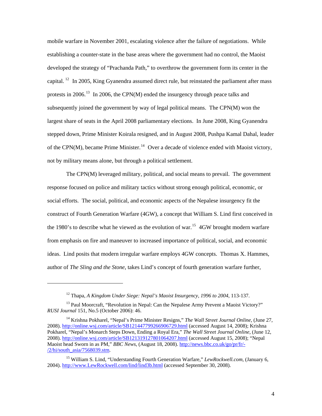mobile warfare in November 2001, escalating violence after the failure of negotiations. While establishing a counter-state in the base areas where the government had no control, the Maoist developed the strategy of "Prachanda Path," to overthrow the government form its center in the capital. <sup>[12](#page-8-0)</sup> In 2005, King Gyanendra assumed direct rule, but reinstated the parliament after mass protests in 2006.<sup>[13](#page-8-1)</sup> In 2006, the CPN(M) ended the insurgency through peace talks and subsequently joined the government by way of legal political means. The CPN(M) won the largest share of seats in the April 2008 parliamentary elections. In June 2008, King Gyanendra stepped down, Prime Minister Koirala resigned, and in August 2008, Pushpa Kamal Dahal, leader of the CPN(M), became Prime Minister.<sup>[14](#page-8-2)</sup> Over a decade of violence ended with Maoist victory, not by military means alone, but through a political settlement.

The CPN(M) leveraged military, political, and social means to prevail. The government response focused on police and military tactics without strong enough political, economic, or social efforts. The social, political, and economic aspects of the Nepalese insurgency fit the construct of Fourth Generation Warfare (4GW), a concept that William S. Lind first conceived in the 1980's to describe what he viewed as the evolution of war.<sup>[15](#page-8-3)</sup> 4GW brought modern warfare from emphasis on fire and maneuver to increased importance of political, social, and economic ideas. Lind posits that modern irregular warfare employs 4GW concepts. Thomas X. Hammes, author of *The Sling and the Stone*, takes Lind's concept of fourth generation warfare further,

 $\overline{a}$ 

<sup>12</sup> Thapa, *A Kingdom Under Siege: Nepal's Maoist Insurgency, 1996 to 2004*, 113-137.

<span id="page-8-1"></span><span id="page-8-0"></span><sup>&</sup>lt;sup>13</sup> Paul Moorcraft, "Revolution in Nepal: Can the Nepalese Army Prevent a Maoist Victory?" *RUSI Journal* 151, No.5 (October 2006): 46.

<span id="page-8-2"></span><sup>14</sup> Krishna Pokharel, "Nepal's Prime Minister Resigns," *The Wall Street Journal Online*, (June 27, 2008).<http://online.wsj.com/article/SB121447799266906729.html>(accessed August 14, 2008); Krishna Pokharel, "Nepal's Monarch Steps Down, Ending a Royal Era," *The Wall Street Journal Online*, (June 12, 2008).<http://online.wsj.com/article/SB121319127801064207.html>(accessed August 15, 2008); "Nepal Maoist head Sworn in as PM," *BBC News*, (August 18, 2008). [http://news.bbc.co.uk/go/pr/fr/-](http://news.bbc.co.uk/go/pr/fr/-/2/hi/south_asia/7568039.stm)  $/2/hi$ /south\_asia/7568039.stm.

<span id="page-8-3"></span><sup>15</sup> William S. Lind, "Understanding Fourth Generation Warfare," *LewRockwell.com*, (January 6, 2004). [http://www.LewRockwell.com/lind/lind3b.html](http://www.lewrockwell.com/lind/lind3b.html) (accessed September 30, 2008).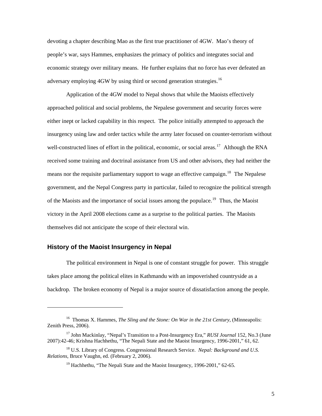<span id="page-9-0"></span>devoting a chapter describing Mao as the first true practitioner of 4GW. Mao's theory of people's war, says Hammes, emphasizes the primacy of politics and integrates social and economic strategy over military means. He further explains that no force has ever defeated an adversary employing 4GW by using third or second generation strategies.<sup>[16](#page-9-1)</sup>

Application of the 4GW model to Nepal shows that while the Maoists effectively approached political and social problems, the Nepalese government and security forces were either inept or lacked capability in this respect. The police initially attempted to approach the insurgency using law and order tactics while the army later focused on counter-terrorism without well-constructed lines of effort in the political, economic, or social areas.<sup>[17](#page-9-2)</sup> Although the RNA received some training and doctrinal assistance from US and other advisors, they had neither the means nor the requisite parliamentary support to wage an effective campaign.<sup>[18](#page-9-3)</sup> The Nepalese government, and the Nepal Congress party in particular, failed to recognize the political strength of the Maoists and the importance of social issues among the populace.<sup>[19](#page-9-4)</sup> Thus, the Maoist victory in the April 2008 elections came as a surprise to the political parties. The Maoists themselves did not anticipate the scope of their electoral win.

#### **History of the Maoist Insurgency in Nepal**

1

The political environment in Nepal is one of constant struggle for power. This struggle takes place among the political elites in Kathmandu with an impoverished countryside as a backdrop. The broken economy of Nepal is a major source of dissatisfaction among the people.

<span id="page-9-1"></span><sup>16</sup> Thomas X. Hammes, *The Sling and the Stone: On War in the 21st Century*, (Minneapolis: Zenith Press, 2006).

<span id="page-9-2"></span><sup>17</sup> John Mackinlay, "Nepal's Transition to a Post-Insurgency Era," *RUSI Journal* 152, No.3 (June 2007):42-46; Krishna Hachhethu, "The Nepali State and the Maoist Insurgency, 1996-2001," 61, 62.

<span id="page-9-4"></span><span id="page-9-3"></span><sup>18</sup> U.S. Library of Congress. Congressional Research Service. *Nepal: Background and U.S. Relations*, Bruce Vaughn, ed. (February 2, 2006).

<sup>&</sup>lt;sup>19</sup> Hachhethu, "The Nepali State and the Maoist Insurgency, 1996-2001," 62-65.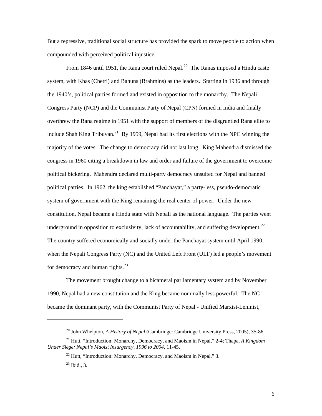But a repressive, traditional social structure has provided the spark to move people to action when compounded with perceived political injustice.

From 1846 until 1951, the Rana court ruled Nepal.<sup>[20](#page-10-0)</sup> The Ranas imposed a Hindu caste system, with Khas (Chetri) and Bahuns (Brahmins) as the leaders. Starting in 1936 and through the 1940's, political parties formed and existed in opposition to the monarchy. The Nepali Congress Party (NCP) and the Communist Party of Nepal (CPN) formed in India and finally overthrew the Rana regime in 1951 with the support of members of the disgruntled Rana elite to include Shah King Tribuvan.<sup>[21](#page-10-1)</sup> By 1959, Nepal had its first elections with the NPC winning the majority of the votes. The change to democracy did not last long. King Mahendra dismissed the congress in 1960 citing a breakdown in law and order and failure of the government to overcome political bickering. Mahendra declared multi-party democracy unsuited for Nepal and banned political parties. In 1962, the king established "Panchayat," a party-less, pseudo-democratic system of government with the King remaining the real center of power. Under the new constitution, Nepal became a Hindu state with Nepali as the national language. The parties went underground in opposition to exclusivity, lack of accountability, and suffering development.<sup>[22](#page-10-2)</sup> The country suffered economically and socially under the Panchayat system until April 1990, when the Nepali Congress Party (NC) and the United Left Front (ULF) led a people's movement for democracy and human rights. $^{23}$  $^{23}$  $^{23}$ 

The movement brought change to a bicameral parliamentary system and by November 1990, Nepal had a new constitution and the King became nominally less powerful. The NC became the dominant party, with the Communist Party of Nepal - Unified Marxist-Leninist,

<sup>20</sup> John Whelpton, *A History of Nepal* (Cambridge: Cambridge University Press, 2005), 35-86.

<span id="page-10-3"></span><span id="page-10-2"></span><span id="page-10-1"></span><span id="page-10-0"></span><sup>21</sup> Hutt, "Introduction: Monarchy, Democracy, and Maoism in Nepal," 2-4; Thapa, *A Kingdom Under Siege: Nepal's Maoist Insurgency, 1996 to 2004*, 11-45.

 $^{22}$  Hutt, "Introduction: Monarchy, Democracy, and Maoism in Nepal," 3.

 $^{23}$  Ibid., 3.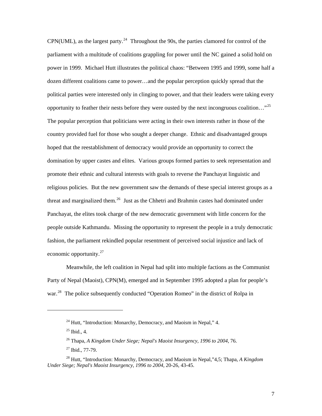CPN(UML), as the largest party.<sup>[24](#page-11-0)</sup> Throughout the 90s, the parties clamored for control of the parliament with a multitude of coalitions grappling for power until the NC gained a solid hold on power in 1999. Michael Hutt illustrates the political chaos: "Between 1995 and 1999, some half a dozen different coalitions came to power…and the popular perception quickly spread that the political parties were interested only in clinging to power, and that their leaders were taking every opportunity to feather their nests before they were ousted by the next incongruous coalition…"[25](#page-11-1) The popular perception that politicians were acting in their own interests rather in those of the country provided fuel for those who sought a deeper change. Ethnic and disadvantaged groups hoped that the reestablishment of democracy would provide an opportunity to correct the domination by upper castes and elites. Various groups formed parties to seek representation and promote their ethnic and cultural interests with goals to reverse the Panchayat linguistic and religious policies. But the new government saw the demands of these special interest groups as a threat and marginalized them.<sup>[26](#page-11-2)</sup> Just as the Chhetri and Brahmin castes had dominated under Panchayat, the elites took charge of the new democratic government with little concern for the people outside Kathmandu. Missing the opportunity to represent the people in a truly democratic fashion, the parliament rekindled popular resentment of perceived social injustice and lack of economic opportunity.[27](#page-11-3)

 Meanwhile, the left coalition in Nepal had split into multiple factions as the Communist Party of Nepal (Maoist), CPN(M), emerged and in September 1995 adopted a plan for people's war.<sup>[28](#page-11-4)</sup> The police subsequently conducted "Operation Romeo" in the district of Rolpa in

 $24$  Hutt, "Introduction: Monarchy, Democracy, and Maoism in Nepal," 4.

 $25$  Ibid., 4.

<sup>26</sup> Thapa, *A Kingdom Under Siege; Nepal's Maoist Insurgency, 1996 to 2004*, 76.

 $27$  Ibid., 77-79.

<span id="page-11-4"></span><span id="page-11-3"></span><span id="page-11-2"></span><span id="page-11-1"></span><span id="page-11-0"></span><sup>28</sup> Hutt, "Introduction: Monarchy, Democracy, and Maoism in Nepal,"4,5; Thapa, *A Kingdom Under Siege; Nepal's Maoist Insurgency, 1996 to 2004*, 20-26, 43-45.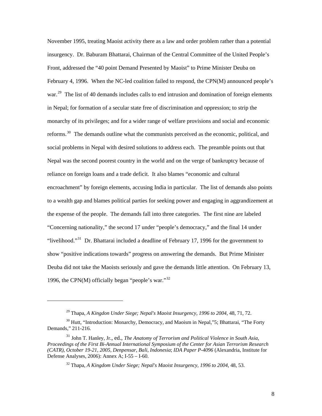November 1995, treating Maoist activity there as a law and order problem rather than a potential insurgency. Dr. Baburam Bhattarai, Chairman of the Central Committee of the United People's Front, addressed the "40 point Demand Presented by Maoist" to Prime Minister Deuba on February 4, 1996. When the NC-led coalition failed to respond, the CPN(M) announced people's war.<sup>[29](#page-12-0)</sup> The list of 40 demands includes calls to end intrusion and domination of foreign elements in Nepal; for formation of a secular state free of discrimination and oppression; to strip the monarchy of its privileges; and for a wider range of welfare provisions and social and economic reforms.<sup>[30](#page-12-1)</sup> The demands outline what the communists perceived as the economic, political, and social problems in Nepal with desired solutions to address each. The preamble points out that Nepal was the second poorest country in the world and on the verge of bankruptcy because of reliance on foreign loans and a trade deficit. It also blames "economic and cultural encroachment" by foreign elements, accusing India in particular. The list of demands also points to a wealth gap and blames political parties for seeking power and engaging in aggrandizement at the expense of the people. The demands fall into three categories. The first nine are labeled "Concerning nationality," the second 17 under "people's democracy," and the final 14 under "livelihood."<sup>[31](#page-12-2)</sup> Dr. Bhattarai included a deadline of February 17, 1996 for the government to show "positive indications towards" progress on answering the demands. But Prime Minister Deuba did not take the Maoists seriously and gave the demands little attention. On February 13, 1996, the CPN $(M)$  officially began "people's war."<sup>[32](#page-12-3)</sup>

<sup>29</sup> Thapa, *A Kingdon Under Siege; Nepal's Maoist Insurgency, 1996 to 2004*, 48, 71, 72.

<span id="page-12-1"></span><span id="page-12-0"></span> $30$  Hutt, "Introduction: Monarchy, Democracy, and Maoism in Nepal,  $35$ ; Bhattarai, "The Forty Demands," 211-216.

<span id="page-12-3"></span><span id="page-12-2"></span><sup>31</sup> John T. Hanley, Jr., ed., *The Anatomy of Terrorism and Political Violence in South Asia, Proceedings of the First Bi-Annual International Symposium of the Center for Asian Terrorism Research (CATR), October 19-21, 2005, Denpensar, Bali, Indonesia*; *IDA Paper P-4096* (Alexandria, Institute for Defense Analyses, 2006): Annex A; I-55 – I-60.

<sup>32</sup> Thapa, *A Kingdom Under Siege; Nepal's Maoist Insurgency, 1996 to 2004*, 48, 53.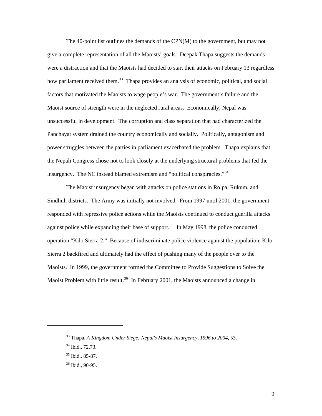The 40-point list outlines the demands of the CPN(M) to the government, but may not give a complete representation of all the Maoists' goals. Deepak Thapa suggests the demands were a distraction and that the Maoists had decided to start their attacks on February 13 regardless how parliament received them.<sup>[33](#page-13-0)</sup> Thapa provides an analysis of economic, political, and social factors that motivated the Maoists to wage people's war. The government's failure and the Maoist source of strength were in the neglected rural areas. Economically, Nepal was unsuccessful in development. The corruption and class separation that had characterized the Panchayat system drained the country economically and socially. Politically, antagonism and power struggles between the parties in parliament exacerbated the problem. Thapa explains that the Nepali Congress chose not to look closely at the underlying structural problems that fed the insurgency. The NC instead blamed extremism and "political conspiracies."<sup>[34](#page-13-1)</sup>

The Maoist insurgency began with attacks on police stations in Rolpa, Rukum, and Sindhuli districts. The Army was initially not involved. From 1997 until 2001, the government responded with repressive police actions while the Maoists continued to conduct guerilla attacks against police while expanding their base of support.<sup>[35](#page-13-2)</sup> In May 1998, the police conducted operation "Kilo Sierra 2." Because of indiscriminate police violence against the population, Kilo Sierra 2 backfired and ultimately had the effect of pushing many of the people over to the Maoists. In 1999, the government formed the Committee to Provide Suggestions to Solve the Maoist Problem with little result.<sup>[36](#page-13-3)</sup> In February 2001, the Maoists announced a change in

<span id="page-13-0"></span><sup>33</sup> Thapa, *A Kingdom Under Siege; Nepal's Maoist Insurgency, 1996 to 2004*, 53.

<span id="page-13-1"></span><sup>34</sup> Ibid., 72,73.

<span id="page-13-2"></span><sup>35</sup> Ibid., 85-87.

<span id="page-13-3"></span><sup>36</sup> Ibid., 90-95.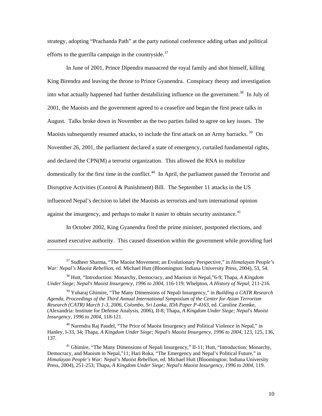strategy, adopting "Prachanda Path" at the party national conference adding urban and political efforts to the guerilla campaign in the countryside.<sup>[37](#page-14-0)</sup>

In June of 2001, Prince Dipendra massacred the royal family and shot himself, killing King Birendra and leaving the throne to Prince Gyanendra. Conspiracy theory and investigation into what actually happened had further destabilizing influence on the government.<sup>[38](#page-14-1)</sup> In July of 2001, the Maoists and the government agreed to a ceasefire and began the first peace talks in August. Talks broke down in November as the two parties failed to agree on key issues. The Maoists subsequently resumed attacks, to include the first attack on an Army barracks.  $39$  On November 26, 2001, the parliament declared a state of emergency, curtailed fundamental rights, and declared the CPN(M) a terrorist organization. This allowed the RNA to mobilize domestically for the first time in the conflict.<sup>[40](#page-14-3)</sup> In April, the parliament passed the Terrorist and Disruptive Activities (Control & Punishment) Bill. The September 11 attacks in the US influenced Nepal's decision to label the Maoists as terrorists and turn international opinion against the insurgency, and perhaps to make it easier to obtain security assistance.<sup>[41](#page-14-4)</sup>

In October 2002, King Gyanendra fired the prime minister, postponed elections, and assumed executive authority. This caused dissention within the government while providing fuel

<span id="page-14-0"></span><sup>37</sup> Sudheer Sharma, "The Maoist Movement; an Evolutionary Perspective," in *Himalayan People's War: Nepal's Maoist Rebellion*, ed. Michael Hutt (Bloomington: Indiana University Press, 2004), 53, 54.

<span id="page-14-1"></span><sup>38</sup> Hutt, "Introduction: Monarchy, Democracy, and Maoism in Nepal,"6-9; Thapa, *A Kingdom Under Siege; Nepal's Maoist Insurgency, 1996 to 2004*, 116-119; Whelpton, *A History of Nepal*, 211-216.

<span id="page-14-2"></span><sup>39</sup> Yubaraj Ghimire, "The Many Dimensions of Nepali Insurgency," in *Building a CATR Research Agenda, Proceedings of the Third Annual International Symposium of the Center for Asian Terrorism Research (CATR) March 1-3, 2006, Colombo, Sri Lanka*, *IDA Paper P-4163*, ed. Caroline Ziemke, (Alexandria: Institute for Defense Analysis, 2006), II-8; Thapa, *A Kingdom Under Siege; Nepal's Maoist Insurgency, 1996 to 2004*, 118-121.

<span id="page-14-3"></span> $40$  Narendra Raj Paudel, "The Price of Maoist Insurgency and Political Violence in Nepal," in Hanley, I-33, 34; Thapa, *A Kingdom Under Siege; Nepal's Maoist Insurgency, 1996 to 2004*, 123, 125, 136, 137.

<span id="page-14-4"></span><sup>&</sup>lt;sup>41</sup> Ghimire, "The Many Dimensions of Nepali Insurgency," II-11; Hutt, "Introduction: Monarchy, Democracy, and Maoism in Nepal,"11; Hari Roka, "The Emergency and Nepal's Political Future," in *Himalayan People's War: Nepal's Maoist Rebellion*, ed. Michael Hutt (Bloomington: Indiana University Press, 2004), 251-253; Thapa, *A Kingdom Under Siege; Nepal's Maoist Insurgency, 1996 to 2004*, 119.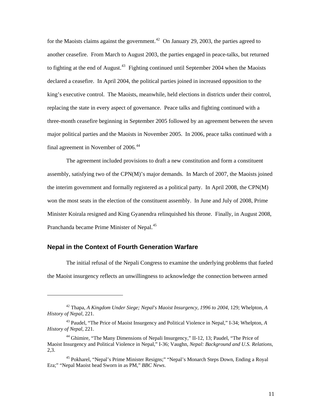<span id="page-15-0"></span>for the Maoists claims against the government.<sup>[42](#page-15-1)</sup> On January 29, 2003, the parties agreed to another ceasefire. From March to August 2003, the parties engaged in peace-talks, but returned to fighting at the end of August.<sup>[43](#page-15-2)</sup> Fighting continued until September 2004 when the Maoists declared a ceasefire. In April 2004, the political parties joined in increased opposition to the king's executive control. The Maoists, meanwhile, held elections in districts under their control, replacing the state in every aspect of governance. Peace talks and fighting continued with a three-month ceasefire beginning in September 2005 followed by an agreement between the seven major political parties and the Maoists in November 2005. In 2006, peace talks continued with a final agreement in November of 2006.<sup>[44](#page-15-3)</sup>

The agreement included provisions to draft a new constitution and form a constituent assembly, satisfying two of the CPN(M)'s major demands. In March of 2007, the Maoists joined the interim government and formally registered as a political party. In April 2008, the CPN(M) won the most seats in the election of the constituent assembly. In June and July of 2008, Prime Minister Koirala resigned and King Gyanendra relinquished his throne. Finally, in August 2008, Pranchanda became Prime Minister of Nepal.<sup>[45](#page-15-4)</sup>

# **Nepal in the Context of Fourth Generation Warfare**

l

The initial refusal of the Nepali Congress to examine the underlying problems that fueled the Maoist insurgency reflects an unwillingness to acknowledge the connection between armed

<span id="page-15-1"></span><sup>42</sup> Thapa, *A Kingdom Under Siege; Nepal's Maoist Insurgency, 1996 to 2004*, 129; Whelpton, *A History of Nepal*, 221.

<span id="page-15-2"></span><sup>43</sup> Paudel, "The Price of Maoist Insurgency and Political Violence in Nepal," I-34; Whelpton, *A History of Nepal*, 221.

<span id="page-15-3"></span><sup>&</sup>lt;sup>44</sup> Ghimire, "The Many Dimensions of Nepali Insurgency," II-12, 13; Paudel, "The Price of Maoist Insurgency and Political Violence in Nepal," I-36; Vaughn, *Nepal: Background and U.S. Relations*, 2,3.

<span id="page-15-4"></span><sup>&</sup>lt;sup>45</sup> Pokharel, "Nepal's Prime Minister Resigns;" "Nepal's Monarch Steps Down, Ending a Royal Era;" "Nepal Maoist head Sworn in as PM," *BBC News*.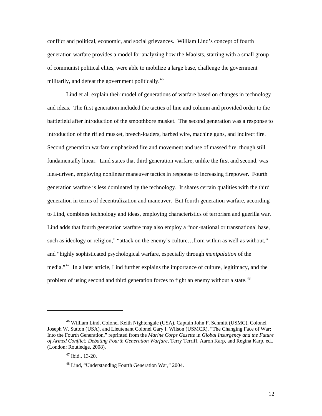conflict and political, economic, and social grievances. William Lind's concept of fourth generation warfare provides a model for analyzing how the Maoists, starting with a small group of communist political elites, were able to mobilize a large base, challenge the government militarily, and defeat the government politically.<sup>[46](#page-16-0)</sup>

Lind et al. explain their model of generations of warfare based on changes in technology and ideas. The first generation included the tactics of line and column and provided order to the battlefield after introduction of the smoothbore musket. The second generation was a response to introduction of the rifled musket, breech-loaders, barbed wire, machine guns, and indirect fire. Second generation warfare emphasized fire and movement and use of massed fire, though still fundamentally linear. Lind states that third generation warfare, unlike the first and second, was idea-driven, employing nonlinear maneuver tactics in response to increasing firepower. Fourth generation warfare is less dominated by the technology. It shares certain qualities with the third generation in terms of decentralization and maneuver. But fourth generation warfare, according to Lind, combines technology and ideas, employing characteristics of terrorism and guerilla war. Lind adds that fourth generation warfare may also employ a "non-national or transnational base, such as ideology or religion," "attack on the enemy's culture…from within as well as without," and "highly sophisticated psychological warfare, especially through *manipulation* of the media."<sup>[47](#page-16-1)</sup> In a later article, Lind further explains the importance of culture, legitimacy, and the problem of using second and third generation forces to fight an enemy without a state.<sup>[48](#page-16-2)</sup>

<span id="page-16-2"></span><span id="page-16-1"></span><span id="page-16-0"></span><sup>46</sup> William Lind, Colonel Keith Nightengale (USA), Captain John F. Schmitt (USMC), Colonel Joseph W. Sutton (USA), and Lieutenant Colonel Gary I. Wilson (USMCR), "The Changing Face of War; Into the Fourth Generation," reprinted from the *Marine Corps Gazette* in *Global Insurgency and the Future of Armed Conflict: Debating Fourth Generation Warfare*, Terry Terriff, Aaron Karp, and Regina Karp, ed., (London: Routledge, 2008).

 $47$  Ibid., 13-20.

<sup>48</sup> Lind, "Understanding Fourth Generation War," 2004.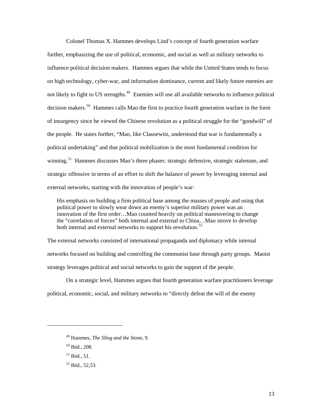Colonel Thomas X. Hammes develops Lind's concept of fourth generation warfare further, emphasizing the use of political, economic, and social as well as military networks to influence political decision makers. Hammes argues that while the United States tends to focus on high technology, cyber-war, and information dominance, current and likely future enemies are not likely to fight to US strengths.<sup>[49](#page-17-0)</sup> Enemies will use all available networks to influence political decision makers.<sup>[50](#page-17-1)</sup> Hammes calls Mao the first to practice fourth generation warfare in the form of insurgency since he viewed the Chinese revolution as a political struggle for the "goodwill" of the people. He states further, "Mao, like Clausewitz, understood that war is fundamentally a political undertaking" and that political mobilization is the most fundamental condition for winning.<sup>[51](#page-17-2)</sup> Hammes discusses Mao's three phases: strategic defensive, strategic stalemate, and strategic offensive in terms of an effort to shift the balance of power by leveraging internal and external networks, starting with the innovation of people's war:

His emphasis on building a firm political base among the masses of people and using that political power to slowly wear down an enemy's superior military power was an innovation of the first order…Mao counted heavily on political maneuvering to change the "correlation of forces" both internal and external to China…Mao strove to develop both internal and external networks to support his revolution.<sup>[52](#page-17-3)</sup>

The external networks consisted of international propaganda and diplomacy while internal networks focused on building and controlling the communist base through party groups. Maoist strategy leverages political and social networks to gain the support of the people.

On a strategic level, Hammes argues that fourth generation warfare practitioners leverage political, economic, social, and military networks to "directly defeat the will of the enemy

- <span id="page-17-2"></span>51 Ibid., 51.
- <span id="page-17-3"></span> $52$  Ibid.,  $52.53$ .

<span id="page-17-0"></span><sup>49</sup> Hammes, *The Sling and the Stone*, 9.

<span id="page-17-1"></span><sup>50</sup> Ibid.*,* 208.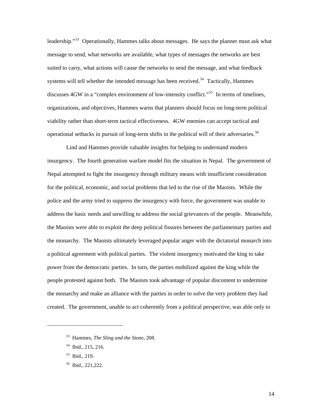leadership."<sup>[53](#page-18-0)</sup> Operationally, Hammes talks about messages. He says the planner must ask what message to send, what networks are available, what types of messages the networks are best suited to carry, what actions will cause the networks to send the message, and what feedback systems will tell whether the intended message has been received.<sup>[54](#page-18-1)</sup> Tactically, Hammes discusses 4GW in a "complex environment of low-intensity conflict."<sup>[55](#page-18-2)</sup> In terms of timelines, organizations, and objectives, Hammes warns that planners should focus on long-term political viability rather than short-term tactical effectiveness. 4GW enemies can accept tactical and operational setbacks in pursuit of long-term shifts in the political will of their adversaries.<sup>[56](#page-18-3)</sup>

Lind and Hammes provide valuable insights for helping to understand modern insurgency. The fourth generation warfare model fits the situation in Nepal. The government of Nepal attempted to fight the insurgency through military means with insufficient consideration for the political, economic, and social problems that led to the rise of the Maoists. While the police and the army tried to suppress the insurgency with force, the government was unable to address the basic needs and unwilling to address the social grievances of the people. Meanwhile, the Maoists were able to exploit the deep political fissures between the parliamentary parties and the monarchy. The Maoists ultimately leveraged popular anger with the dictatorial monarch into a political agreement with political parties. The violent insurgency motivated the king to take power from the democratic parties. In turn, the parties mobilized against the king while the people protested against both. The Maoists took advantage of popular discontent to undermine the monarchy and make an alliance with the parties in order to solve the very problem they had created. The government, unable to act coherently from a political perspective, was able only to

<span id="page-18-0"></span><sup>53</sup> Hammes, *The Sling and the Stone*, 208.

<span id="page-18-1"></span><sup>54</sup> Ibid., 215, 216.

<span id="page-18-2"></span><sup>55</sup> Ibid., 219.

<span id="page-18-3"></span><sup>56</sup> Ibid., 221,222.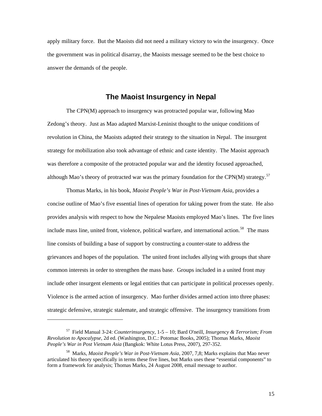<span id="page-19-0"></span>apply military force. But the Maoists did not need a military victory to win the insurgency. Once the government was in political disarray, the Maoists message seemed to be the best choice to answer the demands of the people.

# **The Maoist Insurgency in Nepal**

The CPN(M) approach to insurgency was protracted popular war, following Mao Zedong's theory. Just as Mao adapted Marxist-Leninist thought to the unique conditions of revolution in China, the Maoists adapted their strategy to the situation in Nepal. The insurgent strategy for mobilization also took advantage of ethnic and caste identity. The Maoist approach was therefore a composite of the protracted popular war and the identity focused approached, although Mao's theory of protracted war was the primary foundation for the CPN(M) strategy.<sup>[57](#page-19-1)</sup>

Thomas Marks, in his book, *Maoist People's War in Post-Vietnam Asia*, provides a concise outline of Mao's five essential lines of operation for taking power from the state. He also provides analysis with respect to how the Nepalese Maoists employed Mao's lines. The five lines include mass line, united front, violence, political warfare, and international action.<sup>[58](#page-19-2)</sup> The mass line consists of building a base of support by constructing a counter-state to address the grievances and hopes of the population. The united front includes allying with groups that share common interests in order to strengthen the mass base. Groups included in a united front may include other insurgent elements or legal entities that can participate in political processes openly. Violence is the armed action of insurgency. Mao further divides armed action into three phases: strategic defensive, strategic stalemate, and strategic offensive. The insurgency transitions from

<span id="page-19-1"></span><sup>57</sup> Field Manual 3-24: *Counterinsurgency*, 1-5 – 10; Bard O'neill, *Insurgency & Terrorism; From Revolution to Apocalypse*, 2d ed. (Washington, D.C.: Potomac Books, 2005); Thomas Marks, *Maoist People's War in Post Vietnam Asia* (Bangkok: White Lotus Press, 2007), 297-352.

<span id="page-19-2"></span><sup>58</sup> Marks, *Maoist People's War in Post-Vietnam Asia,* 2007, 7,8; Marks explains that Mao never articulated his theory specifically in terms these five lines, but Marks uses these "essential components" to form a framework for analysis; Thomas Marks, 24 August 2008, email message to author.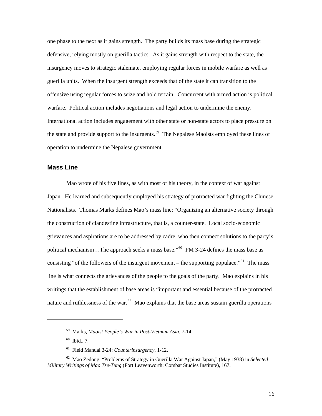<span id="page-20-0"></span>one phase to the next as it gains strength. The party builds its mass base during the strategic defensive, relying mostly on guerilla tactics. As it gains strength with respect to the state, the insurgency moves to strategic stalemate, employing regular forces in mobile warfare as well as guerilla units. When the insurgent strength exceeds that of the state it can transition to the offensive using regular forces to seize and hold terrain. Concurrent with armed action is political warfare. Political action includes negotiations and legal action to undermine the enemy. International action includes engagement with other state or non-state actors to place pressure on the state and provide support to the insurgents.<sup>[59](#page-20-1)</sup> The Nepalese Maoists employed these lines of operation to undermine the Nepalese government.

#### **Mass Line**

Mao wrote of his five lines, as with most of his theory, in the context of war against Japan. He learned and subsequently employed his strategy of protracted war fighting the Chinese Nationalists. Thomas Marks defines Mao's mass line: "Organizing an alternative society through the construction of clandestine infrastructure, that is, a counter-state. Local socio-economic grievances and aspirations are to be addressed by cadre, who then connect solutions to the party's political mechanism...The approach seeks a mass base."<sup>[60](#page-20-2)</sup> FM 3-24 defines the mass base as consisting "of the followers of the insurgent movement – the supporting populace."<sup>[61](#page-20-3)</sup> The mass line is what connects the grievances of the people to the goals of the party. Mao explains in his writings that the establishment of base areas is "important and essential because of the protracted nature and ruthlessness of the war.<sup>[62](#page-20-4)</sup> Mao explains that the base areas sustain guerilla operations

<sup>59</sup> Marks, *Maoist People's War in Post-Vietnam Asia*, 7-14.

 $60$  Ibid., 7.

<sup>61</sup> Field Manual 3-24: *Counterinsurgency*, 1-12.

<span id="page-20-4"></span><span id="page-20-3"></span><span id="page-20-2"></span><span id="page-20-1"></span><sup>62</sup> Mao Zedong, "Problems of Strategy in Guerilla War Against Japan," (May 1938) in *Selected Military Writings of Mao Tse-Tung* (Fort Leavenworth: Combat Studies Institute), 167.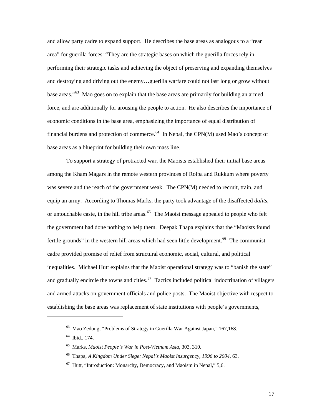and allow party cadre to expand support. He describes the base areas as analogous to a "rear area" for guerilla forces: "They are the strategic bases on which the guerilla forces rely in performing their strategic tasks and achieving the object of preserving and expanding themselves and destroying and driving out the enemy…guerilla warfare could not last long or grow without base areas."[63](#page-21-0) Mao goes on to explain that the base areas are primarily for building an armed force, and are additionally for arousing the people to action. He also describes the importance of economic conditions in the base area, emphasizing the importance of equal distribution of financial burdens and protection of commerce.<sup>[64](#page-21-1)</sup> In Nepal, the CPN(M) used Mao's concept of base areas as a blueprint for building their own mass line.

To support a strategy of protracted war, the Maoists established their initial base areas among the Kham Magars in the remote western provinces of Rolpa and Rukkum where poverty was severe and the reach of the government weak. The CPN(M) needed to recruit, train, and equip an army. According to Thomas Marks, the party took advantage of the disaffected *dalits*, or untouchable caste, in the hill tribe areas.<sup>[65](#page-21-2)</sup> The Maoist message appealed to people who felt the government had done nothing to help them. Deepak Thapa explains that the "Maoists found fertile grounds" in the western hill areas which had seen little development.<sup>[66](#page-21-3)</sup> The communist cadre provided promise of relief from structural economic, social, cultural, and political inequalities. Michael Hutt explains that the Maoist operational strategy was to "banish the state" and gradually encircle the towns and cities.<sup>[67](#page-21-4)</sup> Tactics included political indoctrination of villagers and armed attacks on government officials and police posts. The Maoist objective with respect to establishing the base areas was replacement of state institutions with people's governments,

<span id="page-21-3"></span><span id="page-21-2"></span><span id="page-21-1"></span><span id="page-21-0"></span> $\overline{a}$ 

<sup>&</sup>lt;sup>63</sup> Mao Zedong, "Problems of Strategy in Guerilla War Against Japan," 167,168.

<sup>64</sup> Ibid., 174.

<sup>65</sup> Marks, *Maoist People's War in Post-Vietnam Asia*, 303, 310.

<sup>66</sup> Thapa, *A Kingdom Under Siege: Nepal's Maoist Insurgency, 1996 to 2004*, 63.

<span id="page-21-4"></span> $67$  Hutt, "Introduction: Monarchy, Democracy, and Maoism in Nepal," 5,6.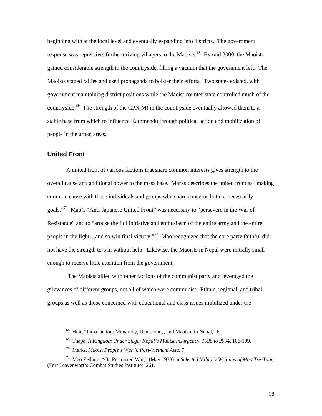<span id="page-22-0"></span>beginning with at the local level and eventually expanding into districts. The government response was repressive, further driving villagers to the Maoists.<sup>[68](#page-22-1)</sup> By mid 2000, the Maoists gained considerable strength in the countryside, filling a vacuum that the government left. The Maoists staged rallies and used propaganda to bolster their efforts. Two states existed, with government maintaining district positions while the Maoist counter-state controlled much of the countryside.<sup>[69](#page-22-2)</sup> The strength of the CPN(M) in the countryside eventually allowed them to a stable base from which to influence Kathmandu through political action and mobilization of people in the urban areas.

# **United Front**

<span id="page-22-1"></span>-

A united front of various factions that share common interests gives strength to the overall cause and additional power to the mass base. Marks describes the united front as "making common cause with those individuals and groups who share concerns but not necessarily goals."<sup>[70](#page-22-3)</sup> Mao's "Anti-Japanese United Front" was necessary to "persevere in the War of Resistance" and to "arouse the full initiative and enthusiasm of the entire army and the entire people in the fight…and so win final victory."<sup>[71](#page-22-4)</sup> Mao recognized that the core party faithful did not have the strength to win without help. Likewise, the Maoists in Nepal were initially small enough to receive little attention from the government.

 The Maoists allied with other factions of the communist party and leveraged the grievances of different groups, not all of which were communist. Ethnic, regional, and tribal groups as well as those concerned with educational and class issues mobilized under the

<sup>&</sup>lt;sup>68</sup> Hutt, "Introduction: Monarchy, Democracy, and Maoism in Nepal," 6.

<sup>69</sup> Thapa, *A Kingdom Under Siege: Nepal's Maoist Insurgency, 1996 to 2004*, 106-109.

<sup>70</sup> Marks, *Maoist People's War in Post-Vietnam Asia*, 7.

<span id="page-22-4"></span><span id="page-22-3"></span><span id="page-22-2"></span><sup>71</sup> Mao Zedong, "On Protracted War," (May 1938) in *Selected Military Writings of Mao Tse-Tung* (Fort Leavenworth: Combat Studies Institute), 261.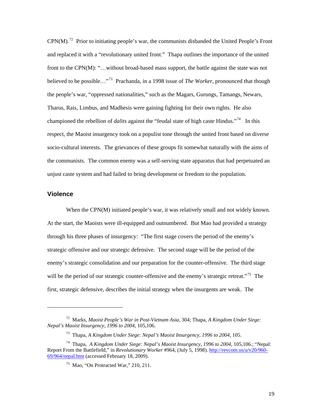<span id="page-23-0"></span> $CPN(M)$ .<sup>[72](#page-23-1)</sup> Prior to initiating people's war, the communists disbanded the United People's Front and replaced it with a "revolutionary united front." Thapa outlines the importance of the united front to the CPN(M): "...without broad-based mass support, the battle against the state was not believed to be possible…"[73](#page-23-2) Prachanda, in a 1998 issue of *The Worker*, pronounced that though the people's war, "oppressed nationalities," such as the Magars, Gurungs, Tamangs, Newars, Tharus, Rais, Limbus, and Madhesis were gaining fighting for their own rights. He also championed the rebellion of *dalits* against the "feudal state of high caste Hindus."[74](#page-23-3) In this respect, the Maoist insurgency took on a populist tone through the united front based on diverse socio-cultural interests. The grievances of these groups fit somewhat naturally with the aims of the communists. The common enemy was a self-serving state apparatus that had perpetuated an unjust caste system and had failed to bring development or freedom to the population.

#### **Violence**

l

When the CPN(M) initiated people's war, it was relatively small and not widely known. At the start, the Maoists were ill-equipped and outnumbered. But Mao had provided a strategy through his three phases of insurgency: "The first stage covers the period of the enemy's strategic offensive and our strategic defensive. The second stage will be the period of the enemy's strategic consolidation and our preparation for the counter-offensive. The third stage will be the period of our strategic counter-offensive and the enemy's strategic retreat."<sup>[75](#page-23-4)</sup> The first, strategic defensive, describes the initial strategy when the insurgents are weak. The

<span id="page-23-1"></span><sup>72</sup> Marks, *Maoist People's War in Post-Vietnam Asia*, 304; Thapa, *A Kingdom Under Siege: Nepal's Maoist Insurgency, 1996 to 2004*, 105,106.

<sup>73</sup> Thapa, *A Kingdom Under Siege: Nepal's Maoist Insurgency, 1996 to 2004*, 105.

<span id="page-23-4"></span><span id="page-23-3"></span><span id="page-23-2"></span><sup>74</sup> Thapa, *A Kingdom Under Siege: Nepal's Maoist Insurgency, 1996 to 2004*, 105,106.; "Nepal: Report From the Battlefield," in *Revolutionary Worker* #964, (July 5, 1998). [http://revcom.us/a/v20/960-](http://revcom.us/a/v20/960-69/964/nepal.htm) [69/964/nepal.htm](http://revcom.us/a/v20/960-69/964/nepal.htm) (accessed February 18, 2009).

 $75$  Mao, "On Protracted War," 210, 211.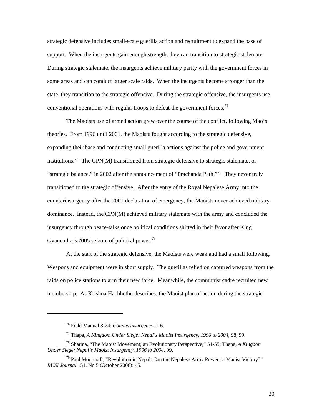strategic defensive includes small-scale guerilla action and recruitment to expand the base of support. When the insurgents gain enough strength, they can transition to strategic stalemate. During strategic stalemate, the insurgents achieve military parity with the government forces in some areas and can conduct larger scale raids. When the insurgents become stronger than the state, they transition to the strategic offensive. During the strategic offensive, the insurgents use conventional operations with regular troops to defeat the government forces.<sup>[76](#page-24-0)</sup>

 The Maoists use of armed action grew over the course of the conflict, following Mao's theories. From 1996 until 2001, the Maoists fought according to the strategic defensive, expanding their base and conducting small guerilla actions against the police and government institutions.<sup>[77](#page-24-1)</sup> The CPN(M) transitioned from strategic defensive to strategic stalemate, or "strategic balance," in 2002 after the announcement of "Prachanda Path."<sup>[78](#page-24-2)</sup> They never truly transitioned to the strategic offensive. After the entry of the Royal Nepalese Army into the counterinsurgency after the 2001 declaration of emergency, the Maoists never achieved military dominance. Instead, the CPN(M) achieved military stalemate with the army and concluded the insurgency through peace-talks once political conditions shifted in their favor after King Gyanendra's 2005 seizure of political power.<sup>[79](#page-24-3)</sup>

At the start of the strategic defensive, the Maoists were weak and had a small following. Weapons and equipment were in short supply. The guerillas relied on captured weapons from the raids on police stations to arm their new force. Meanwhile, the communist cadre recruited new membership. As Krishna Hachhethu describes, the Maoist plan of action during the strategic

<sup>76</sup> Field Manual 3-24: *Counterinsurgency*, 1-6.

<sup>77</sup> Thapa, *A Kingdom Under Siege: Nepal's Maoist Insurgency, 1996 to 2004*, 98, 99.

<span id="page-24-2"></span><span id="page-24-1"></span><span id="page-24-0"></span><sup>78</sup> Sharma, "The Maoist Movement; an Evolutionary Perspective," 51-55; Thapa, *A Kingdom Under Siege: Nepal's Maoist Insurgency, 1996 to 2004*, 99.

<span id="page-24-3"></span> $79$  Paul Moorcraft, "Revolution in Nepal: Can the Nepalese Army Prevent a Maoist Victory?" *RUSI Journal* 151, No.5 (October 2006): 45.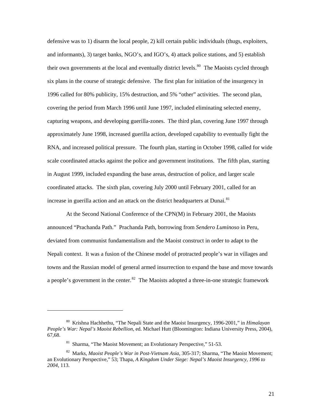defensive was to 1) disarm the local people, 2) kill certain public individuals (thugs, exploiters, and informants), 3) target banks, NGO's, and IGO's, 4) attack police stations, and 5) establish their own governments at the local and eventually district levels.<sup>[80](#page-25-0)</sup> The Maoists cycled through six plans in the course of strategic defensive. The first plan for initiation of the insurgency in 1996 called for 80% publicity, 15% destruction, and 5% "other" activities. The second plan, covering the period from March 1996 until June 1997, included eliminating selected enemy, capturing weapons, and developing guerilla-zones. The third plan, covering June 1997 through approximately June 1998, increased guerilla action, developed capability to eventually fight the RNA, and increased political pressure. The fourth plan, starting in October 1998, called for wide scale coordinated attacks against the police and government institutions. The fifth plan, starting in August 1999, included expanding the base areas, destruction of police, and larger scale coordinated attacks. The sixth plan, covering July 2000 until February 2001, called for an increase in guerilla action and an attack on the district headquarters at Dunai.<sup>[81](#page-25-1)</sup>

 At the Second National Conference of the CPN(M) in February 2001, the Maoists announced "Prachanda Path." Prachanda Path, borrowing from *Sendero Luminoso* in Peru, deviated from communist fundamentalism and the Maoist construct in order to adapt to the Nepali context. It was a fusion of the Chinese model of protracted people's war in villages and towns and the Russian model of general armed insurrection to expand the base and move towards a people's government in the center.<sup>[82](#page-25-2)</sup> The Maoists adopted a three-in-one strategic framework

<span id="page-25-0"></span><sup>80</sup> Krishna Hachhethu, "The Nepali State and the Maoist Insurgency, 1996-2001," in *Himalayan People's War: Nepal's Maoist Rebellion*, ed. Michael Hutt (Bloomington: Indiana University Press, 2004), 67,68.

<sup>&</sup>lt;sup>81</sup> Sharma, "The Maoist Movement; an Evolutionary Perspective," 51-53.

<span id="page-25-2"></span><span id="page-25-1"></span><sup>82</sup> Marks, *Maoist People's War in Post-Vietnam Asia*, 305-317; Sharma, "The Maoist Movement; an Evolutionary Perspective," 53; Thapa, *A Kingdom Under Siege: Nepal's Maoist Insurgency, 1996 to 2004*, 113.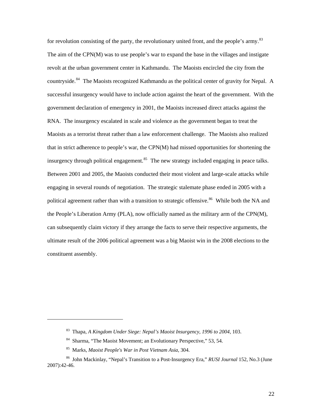for revolution consisting of the party, the revolutionary united front, and the people's army.<sup>[83](#page-26-0)</sup> The aim of the CPN(M) was to use people's war to expand the base in the villages and instigate revolt at the urban government center in Kathmandu. The Maoists encircled the city from the countryside.<sup>[84](#page-26-1)</sup> The Maoists recognized Kathmandu as the political center of gravity for Nepal. A successful insurgency would have to include action against the heart of the government. With the government declaration of emergency in 2001, the Maoists increased direct attacks against the RNA. The insurgency escalated in scale and violence as the government began to treat the Maoists as a terrorist threat rather than a law enforcement challenge. The Maoists also realized that in strict adherence to people's war, the CPN(M) had missed opportunities for shortening the insurgency through political engagement. $85$  The new strategy included engaging in peace talks. Between 2001 and 2005, the Maoists conducted their most violent and large-scale attacks while engaging in several rounds of negotiation. The strategic stalemate phase ended in 2005 with a political agreement rather than with a transition to strategic offensive.<sup>[86](#page-26-3)</sup> While both the NA and the People's Liberation Army (PLA), now officially named as the military arm of the CPN(M), can subsequently claim victory if they arrange the facts to serve their respective arguments, the ultimate result of the 2006 political agreement was a big Maoist win in the 2008 elections to the constituent assembly.

<span id="page-26-0"></span> $\overline{a}$ 

<sup>83</sup> Thapa, *A Kingdom Under Siege: Nepal's Maoist Insurgency, 1996 to 2004*, 103.

<sup>&</sup>lt;sup>84</sup> Sharma, "The Maoist Movement; an Evolutionary Perspective," 53, 54.

<sup>85</sup> Marks, *Maoist People's War in Post Vietnam Asia*, 304.

<span id="page-26-3"></span><span id="page-26-2"></span><span id="page-26-1"></span><sup>86</sup> John Mackinlay, "Nepal's Transition to a Post-Insurgency Era," *RUSI Journal* 152, No.3 (June 2007):42-46.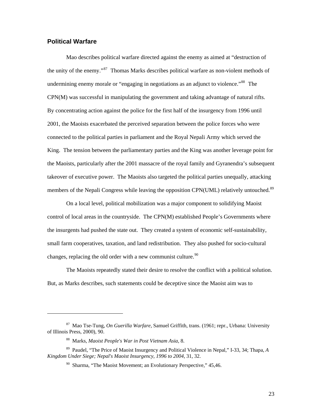#### <span id="page-27-0"></span>**Political Warfare**

1

Mao describes political warfare directed against the enemy as aimed at "destruction of the unity of the enemy."[87](#page-27-1) Thomas Marks describes political warfare as non-violent methods of undermining enemy morale or "engaging in negotiations as an adjunct to violence."<sup>[88](#page-27-2)</sup> The CPN(M) was successful in manipulating the government and taking advantage of natural rifts. By concentrating action against the police for the first half of the insurgency from 1996 until 2001, the Maoists exacerbated the perceived separation between the police forces who were connected to the political parties in parliament and the Royal Nepali Army which served the King. The tension between the parliamentary parties and the King was another leverage point for the Maoists, particularly after the 2001 massacre of the royal family and Gyranendra's subsequent takeover of executive power. The Maoists also targeted the political parties unequally, attacking members of the Nepali Congress while leaving the opposition CPN(UML) relatively untouched.<sup>[89](#page-27-3)</sup>

On a local level, political mobilization was a major component to solidifying Maoist control of local areas in the countryside. The CPN(M) established People's Governments where the insurgents had pushed the state out. They created a system of economic self-sustainability, small farm cooperatives, taxation, and land redistribution. They also pushed for socio-cultural changes, replacing the old order with a new communist culture.<sup>[90](#page-27-4)</sup>

The Maoists repeatedly stated their desire to resolve the conflict with a political solution. But, as Marks describes, such statements could be deceptive since the Maoist aim was to

<span id="page-27-1"></span><sup>87</sup> Mao Tse-Tung, *On Guerilla Warfare*, Samuel Griffith, trans. (1961; repr., Urbana: University of Illinois Press, 2000), 90.

<sup>88</sup> Marks, *Maoist People's War in Post Vietnam Asia*, 8.

<span id="page-27-4"></span><span id="page-27-3"></span><span id="page-27-2"></span><sup>89</sup> Paudel, "The Price of Maoist Insurgency and Political Violence in Nepal," I-33, 34; Thapa, *A Kingdom Under Siege; Nepal's Maoist Insurgency, 1996 to 2004*, 31, 32.

<sup>&</sup>lt;sup>90</sup> Sharma, "The Maoist Movement; an Evolutionary Perspective," 45,46.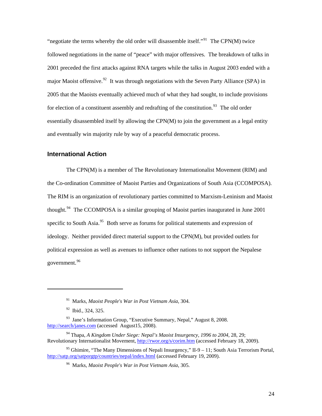<span id="page-28-0"></span>"negotiate the terms whereby the old order will disassemble itself."<sup>[91](#page-28-1)</sup> The CPN(M) twice followed negotiations in the name of "peace" with major offensives. The breakdown of talks in 2001 preceded the first attacks against RNA targets while the talks in August 2003 ended with a major Maoist offensive.<sup>[92](#page-28-2)</sup> It was through negotiations with the Seven Party Alliance (SPA) in 2005 that the Maoists eventually achieved much of what they had sought, to include provisions for election of a constituent assembly and redrafting of the constitution.<sup>[93](#page-28-3)</sup> The old order essentially disassembled itself by allowing the CPN(M) to join the government as a legal entity and eventually win majority rule by way of a peaceful democratic process.

#### **International Action**

 The CPN(M) is a member of The Revolutionary Internationalist Movement (RIM) and the Co-ordination Committee of Maoist Parties and Organizations of South Asia (CCOMPOSA). The RIM is an organization of revolutionary parties committed to Marxism-Leninism and Maoist thought.<sup>[94](#page-28-4)</sup> The CCOMPOSA is a similar grouping of Maoist parties inaugurated in June 2001 specific to South Asia.<sup>[95](#page-28-5)</sup> Both serve as forums for political statements and expression of ideology. Neither provided direct material support to the CPN(M), but provided outlets for political expression as well as avenues to influence other nations to not support the Nepalese government.<sup>[96](#page-28-6)</sup>

<sup>91</sup> Marks, *Maoist People's War in Post Vietnam Asia*, 304.

<sup>&</sup>lt;sup>92</sup> Ibid., 324, 325.

<span id="page-28-3"></span><span id="page-28-2"></span><span id="page-28-1"></span><sup>93</sup> Jane's Information Group, "Executive Summary, Nepal," August 8, 2008. <http://search/janes.com> (accessed August15, 2008).

<span id="page-28-4"></span><sup>94</sup> Thapa, *A Kingdom Under Siege: Nepal's Maoist Insurgency, 1996 to 2004*, 28, 29; Revolutionary Internationalist Movement,<http://rwor.org/s/corim.htm>(accessed February 18, 2009).

<span id="page-28-6"></span><span id="page-28-5"></span><sup>&</sup>lt;sup>95</sup> Ghimire, "The Many Dimensions of Nepali Insurgency," II-9 – 11; South Asia Terrorism Portal, <http://satp.org/satporgtp/countries/nepal/index.html>(accessed February 19, 2009).

<sup>96</sup> Marks, *Maoist People's War in Post Vietnam Asia*, 305.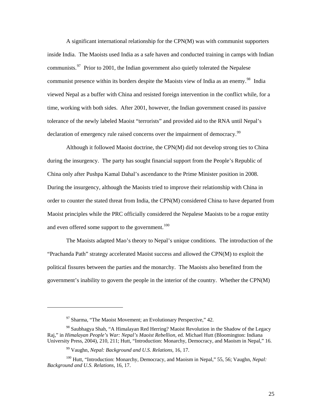A significant international relationship for the CPN(M) was with communist supporters inside India. The Maoists used India as a safe haven and conducted training in camps with Indian communists.<sup>[97](#page-29-0)</sup> Prior to 2001, the Indian government also quietly tolerated the Nepalese communist presence within its borders despite the Maoists view of India as an enemy.<sup>[98](#page-29-1)</sup> India viewed Nepal as a buffer with China and resisted foreign intervention in the conflict while, for a time, working with both sides. After 2001, however, the Indian government ceased its passive tolerance of the newly labeled Maoist "terrorists" and provided aid to the RNA until Nepal's declaration of emergency rule raised concerns over the impairment of democracy.<sup>[99](#page-29-2)</sup>

 Although it followed Maoist doctrine, the CPN(M) did not develop strong ties to China during the insurgency. The party has sought financial support from the People's Republic of China only after Pushpa Kamal Dahal's ascendance to the Prime Minister position in 2008. During the insurgency, although the Maoists tried to improve their relationship with China in order to counter the stated threat from India, the CPN(M) considered China to have departed from Maoist principles while the PRC officially considered the Nepalese Maoists to be a rogue entity and even offered some support to the government.<sup>[100](#page-29-3)</sup>

 The Maoists adapted Mao's theory to Nepal's unique conditions. The introduction of the "Prachanda Path" strategy accelerated Maoist success and allowed the CPN(M) to exploit the political fissures between the parties and the monarchy. The Maoists also benefited from the government's inability to govern the people in the interior of the country. Whether the CPN(M)

 $97$  Sharma, "The Maoist Movement; an Evolutionary Perspective," 42.

<span id="page-29-1"></span><span id="page-29-0"></span><sup>98</sup> Saubhagya Shah, "A Himalayan Red Herring? Maoist Revolution in the Shadow of the Legacy Raj," in *Himalayan People's War: Nepal's Maoist Rebellion*, ed. Michael Hutt (Bloomington: Indiana University Press, 2004), 210, 211; Hutt, "Introduction: Monarchy, Democracy, and Maoism in Nepal," 16.

<sup>99</sup> Vaughn, *Nepal: Background and U.S. Relations*, 16, 17.

<span id="page-29-3"></span><span id="page-29-2"></span><sup>&</sup>lt;sup>100</sup> Hutt, "Introduction: Monarchy, Democracy, and Maoism in Nepal," 55, 56; Vaughn, Nepal: *Background and U.S. Relations*, 16, 17.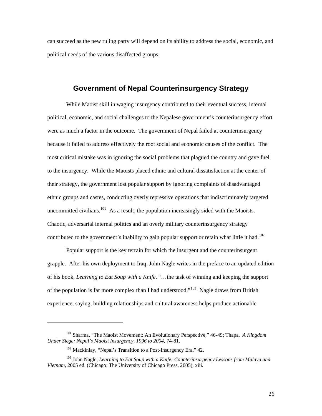can succeed as the new ruling party will depend on its ability to address the social, economic, and political needs of the various disaffected groups.

# **Government of Nepal Counterinsurgency Strategy**

While Maoist skill in waging insurgency contributed to their eventual success, internal political, economic, and social challenges to the Nepalese government's counterinsurgency effort were as much a factor in the outcome. The government of Nepal failed at counterinsurgency because it failed to address effectively the root social and economic causes of the conflict. The most critical mistake was in ignoring the social problems that plagued the country and gave fuel to the insurgency. While the Maoists placed ethnic and cultural dissatisfaction at the center of their strategy, the government lost popular support by ignoring complaints of disadvantaged ethnic groups and castes, conducting overly repressive operations that indiscriminately targeted uncommitted civilians.<sup>[101](#page-30-0)</sup> As a result, the population increasingly sided with the Maoists. Chaotic, adversarial internal politics and an overly military counterinsurgency strategy contributed to the government's inability to gain popular support or retain what little it had.<sup>[102](#page-30-1)</sup>

Popular support is the key terrain for which the insurgent and the counterinsurgent grapple. After his own deployment to Iraq, John Nagle writes in the preface to an updated edition of his book, *Learning to Eat Soup with a Knife*, "…the task of winning and keeping the support of the population is far more complex than I had understood."<sup>[103](#page-30-2)</sup> Nagle draws from British experience, saying, building relationships and cultural awareness helps produce actionable

<span id="page-30-0"></span><sup>101</sup> Sharma, "The Maoist Movement: An Evolutionary Perspective," 46-49; Thapa, *A Kingdom Under Siege: Nepal's Maoist Insurgency, 1996 to 2004*, 74-81.

<sup>&</sup>lt;sup>102</sup> Mackinlay, "Nepal's Transition to a Post-Insurgency Era," 42.

<span id="page-30-2"></span><span id="page-30-1"></span><sup>103</sup> John Nagle, *Learning to Eat Soup with a Knife: Counterinsurgency Lessons from Malaya and Vietnam*, 2005 ed. (Chicago: The University of Chicago Press, 2005), xiii.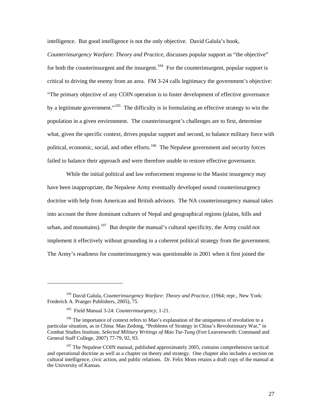intelligence. But good intelligence is not the only objective. David Galula's book,

*Counterinsurgency Warfare: Theory and Practice*, discusses popular support as "the objective" for both the counterinsurgent and the insurgent.<sup>[104](#page-31-0)</sup> For the counterinsurgent, popular support is critical to driving the enemy from an area. FM 3-24 calls legitimacy the government's objective: "The primary objective of any COIN operation is to foster development of effective governance by a legitimate government."<sup>[105](#page-31-1)</sup> The difficulty is in formulating an effective strategy to win the population in a given environment. The counterinsurgent's challenges are to first, determine what, given the specific context, drives popular support and second, to balance military force with political, economic, social, and other efforts.<sup>[106](#page-31-2)</sup> The Nepalese government and security forces failed to balance their approach and were therefore unable to restore effective governance.

While the initial political and law enforcement response to the Maoist insurgency may have been inappropriate, the Nepalese Army eventually developed sound counterinsurgency doctrine with help from American and British advisors. The NA counterinsurgency manual takes into account the three dominant cultures of Nepal and geographical regions (plains, hills and urban, and mountains).<sup>[107](#page-31-3)</sup> But despite the manual's cultural specificity, the Army could not implement it effectively without grounding in a coherent political strategy from the government. The Army's readiness for counterinsurgency was questionable in 2001 when it first joined the

<span id="page-31-0"></span><sup>&</sup>lt;sup>104</sup> David Galula, *Counterinsurgency Warfare: Theory and Practice*, (1964; repr., New York: Frederick A. Praeger Publishers, 2005), 75.

<sup>105</sup> Field Manual 3-24: *Counterinsurgency*, 1-21.

<span id="page-31-2"></span><span id="page-31-1"></span><sup>&</sup>lt;sup>106</sup> The importance of context refers to Mao's explanation of the uniqueness of revolution to a particular situation, as in China: Mao Zedong, "Problems of Strategy in China's Revolutionary War," in Combat Studies Institute, *Selected Military Writings of Mao Tse-Tung* (Fort Leavenworth: Command and General Staff College, 2007) 77-79, 92, 93.

<span id="page-31-3"></span> $107$  The Nepalese COIN manual, published approximately 2005, contains comprehensive tactical and operational doctrine as well as a chapter on theory and strategy. One chapter also includes a section on cultural intelligence, civic action, and public relations. Dr. Felix Moos retains a draft copy of the manual at the University of Kansas.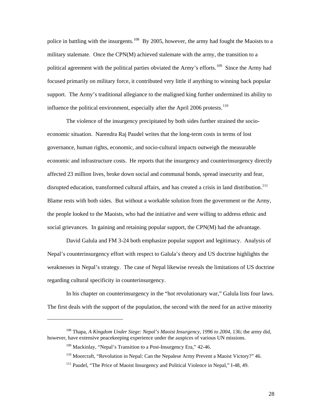police in battling with the insurgents.<sup>[108](#page-32-0)</sup> By 2005, however, the army had fought the Maoists to a military stalemate. Once the CPN(M) achieved stalemate with the army, the transition to a political agreement with the political parties obviated the Army's efforts.<sup>[109](#page-32-1)</sup> Since the Army had focused primarily on military force, it contributed very little if anything to winning back popular support. The Army's traditional allegiance to the maligned king further undermined its ability to influence the political environment, especially after the April 2006 protests.<sup>[110](#page-32-2)</sup>

The violence of the insurgency precipitated by both sides further strained the socioeconomic situation. Narendra Raj Paudel writes that the long-term costs in terms of lost governance, human rights, economic, and socio-cultural impacts outweigh the measurable economic and infrastructure costs. He reports that the insurgency and counterinsurgency directly affected 23 million lives, broke down social and communal bonds, spread insecurity and fear, disrupted education, transformed cultural affairs, and has created a crisis in land distribution.<sup>[111](#page-32-3)</sup> Blame rests with both sides. But without a workable solution from the government or the Army, the people looked to the Maoists, who had the initiative and were willing to address ethnic and social grievances. In gaining and retaining popular support, the CPN(M) had the advantage.

David Galula and FM 3-24 both emphasize popular support and legitimacy. Analysis of Nepal's counterinsurgency effort with respect to Galula's theory and US doctrine highlights the weaknesses in Nepal's strategy. The case of Nepal likewise reveals the limitations of US doctrine regarding cultural specificity in counterinsurgency.

In his chapter on counterinsurgency in the "hot revolutionary war," Galula lists four laws. The first deals with the support of the population, the second with the need for an active minority

<span id="page-32-3"></span><span id="page-32-2"></span><span id="page-32-1"></span><span id="page-32-0"></span><sup>&</sup>lt;sup>108</sup> Thapa, *A Kingdom Under Siege: Nepal's Maoist Insurgency, 1996 to 2004*, 136; the army did, however, have extensive peacekeeping experience under the auspices of various UN missions.

<sup>&</sup>lt;sup>109</sup> Mackinlay, "Nepal's Transition to a Post-Insurgency Era," 42-46.

<sup>&</sup>lt;sup>110</sup> Moorcraft, "Revolution in Nepal: Can the Nepalese Army Prevent a Maoist Victory?" 46.

<sup>&</sup>lt;sup>111</sup> Paudel, "The Price of Maoist Insurgency and Political Violence in Nepal," I-48, 49.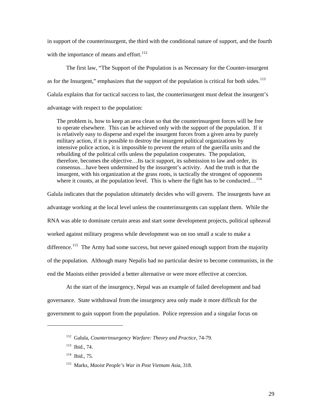in support of the counterinsurgent, the third with the conditional nature of support, and the fourth with the importance of means and effort. $112$ 

The first law, "The Support of the Population is as Necessary for the Counter-insurgent as for the Insurgent," emphasizes that the support of the population is critical for both sides. $113$ Galula explains that for tactical success to last, the counterinsurgent must defeat the insurgent's advantage with respect to the population:

The problem is, how to keep an area clean so that the counterinsurgent forces will be free to operate elsewhere. This can be achieved only with the support of the population. If it is relatively easy to disperse and expel the insurgent forces from a given area by purely military action, if it is possible to destroy the insurgent political organizations by intensive police action, it is impossible to prevent the return of the guerilla units and the rebuilding of the political cells unless the population cooperates. The population, therefore, becomes the objective…Its tacit support, its submission to law and order, its consensus…have been undermined by the insurgent's activity. And the truth is that the insurgent, with his organization at the grass roots, is tactically the strongest of opponents where it counts, at the population level. This is where the fight has to be conducted...<sup>[114](#page-33-2)</sup>

Galula indicates that the population ultimately decides who will govern. The insurgents have an advantage working at the local level unless the counterinsurgents can supplant them. While the RNA was able to dominate certain areas and start some development projects, political upheaval worked against military progress while development was on too small a scale to make a difference.<sup>[115](#page-33-3)</sup> The Army had some success, but never gained enough support from the majority of the population. Although many Nepalis had no particular desire to become communists, in th e end the Maoists either provided a better alternative or were more effective at coercion.

 At the start of the insurgency, Nepal was an example of failed development and bad governance. State withdrawal from the insurgency area only made it more difficult for the government to gain support from the population. Police repression and a singular focus on

<span id="page-33-0"></span><sup>112</sup> Galula, *Counterinsurgency Warfare: Theory and Practice*, 74-79.

<span id="page-33-1"></span><sup>113</sup> Ibid.*,* 74.

<span id="page-33-2"></span><sup>114</sup> Ibid.*,* 75.

<span id="page-33-3"></span><sup>115</sup> Marks, *Maoist People's War in Post Vietnam Asia*, 318.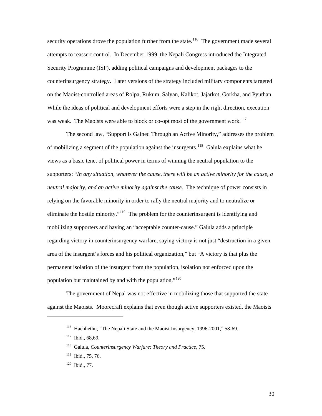security operations drove the population further from the state.<sup>[116](#page-34-0)</sup> The government made several attempts to reassert control. In December 1999, the Nepali Congress introduced the Integrated Security Programme (ISP), adding political campaigns and development packages to the counterinsurgency strategy. Later versions of the strategy included military components targeted on the Maoist-controlled areas of Rolpa, Rukum, Salyan, Kalikot, Jajarkot, Gorkha, and Pyuthan. While the ideas of political and development efforts were a step in the right direction, execution was weak. The Maoists were able to block or co-opt most of the government work.<sup>[117](#page-34-1)</sup>

The second law, "Support is Gained Through an Active Minority," addresses the problem of mobilizing a segment of the population against the insurgents.<sup>[118](#page-34-2)</sup> Galula explains what he views as a basic tenet of political power in terms of winning the neutral population to the supporters: "*In any situation, whatever the cause, there will be an active minority for the cause, a neutral majority, and an active minority against the cause.* The technique of power consists in relying on the favorable minority in order to rally the neutral majority and to neutralize or eliminate the hostile minority."<sup>[119](#page-34-3)</sup> The problem for the counterinsurgent is identifying and mobilizing supporters and having an "acceptable counter-cause." Galula adds a principle regarding victory in counterinsurgency warfare, saying victory is not just "destruction in a given area of the insurgent's forces and his political organization," but "A victory is that plus the permanent isolation of the insurgent from the population, isolation not enforced upon the population but maintained by and with the population."<sup>[120](#page-34-4)</sup>

 The government of Nepal was not effective in mobilizing those that supported the state against the Maoists. Moorecraft explains that even though active supporters existed, the Maoists

<span id="page-34-3"></span><span id="page-34-2"></span><span id="page-34-1"></span><span id="page-34-0"></span> $\overline{a}$ 

<sup>&</sup>lt;sup>116</sup> Hachhethu, "The Nepali State and the Maoist Insurgency, 1996-2001," 58-69.

<sup>117</sup> Ibid., 68,69.

<sup>118</sup> Galula, *Counterinsurgency Warfare: Theory and Practice*, 75.

 $119$  Ibid., 75, 76.

<span id="page-34-4"></span><sup>120</sup> Ibid., 77.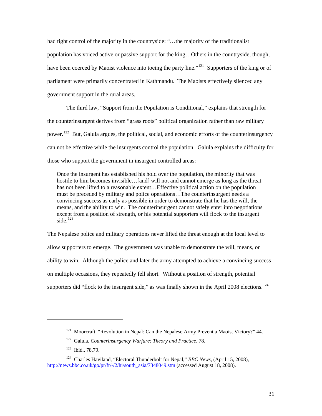had tight control of the majority in the countryside: "…the majority of the traditionalist population has voiced active or passive support for the king…Others in the countryside, though, have been coerced by Maoist violence into toeing the party line."<sup>[121](#page-35-0)</sup> Supporters of the king or of parliament were primarily concentrated in Kathmandu. The Maoists effectively silenced any government support in the rural areas.

The third law, "Support from the Population is Conditional," explains that strength for the counterinsurgent derives from "grass roots" political organization rather than raw military power.<sup>[122](#page-35-1)</sup> But, Galula argues, the political, social, and economic efforts of the counterinsurgency can not be effective while the insurgents control the population. Galula explains the difficulty for those who support the government in insurgent controlled areas:

Once the insurgent has established his hold over the population, the minority that was hostile to him becomes invisible...[and] will not and cannot emerge as long as the threat has not been lifted to a reasonable extent…Effective political action on the population must be preceded by military and police operations…The counterinsurgent needs a convincing success as early as possible in order to demonstrate that he has the will, the means, and the ability to win. The counterinsurgent cannot safely enter into negotiations except from a position of strength, or his potential supporters will flock to the insurgent side. $123$ 

The Nepalese police and military operations never lifted the threat enough at the local level to allow supporters to emerge. The government was unable to demonstrate the will, means, or ability to win. Although the police and later the army attempted to achieve a convincing success on multiple occasions, they repeatedly fell short. Without a position of strength, potential supporters did "flock to the insurgent side," as was finally shown in the April 2008 elections.<sup>[124](#page-35-3)</sup>

 $121$  Moorcraft, "Revolution in Nepal: Can the Nepalese Army Prevent a Maoist Victory?" 44.

<sup>122</sup> Galula, *Counterinsurgency Warfare: Theory and Practice*, 78.

<sup>123</sup> Ibid., 78,79.

<span id="page-35-3"></span><span id="page-35-2"></span><span id="page-35-1"></span><span id="page-35-0"></span><sup>124</sup> Charles Haviland, "Electoral Thunderbolt for Nepal," *BBC News*, (April 15, 2008), [http://news.bbc.co.uk/go/pr/fr/-/2/hi/south\\_asia/7348049.stm](http://news.bbc.co.uk/go/pr/fr/-/2/hi/south_asia/7348049.stm) (accessed August 18, 2008).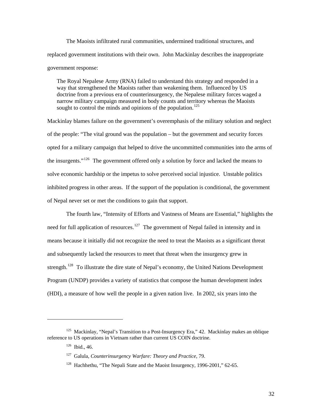The Maoists infiltrated rural communities, undermined traditional structures, and replaced government institutions with their own. John Mackinlay describes the inappropriate government response:

The Royal Nepalese Army (RNA) failed to understand this strategy and responded in a way that strengthened the Maoists rather than weakening them. Influenced by US doctrine from a previous era of counterinsurgency, the Nepalese military forces waged a narrow military campaign measured in body counts and territory whereas the Maoists sought to control the minds and opinions of the population.<sup>[125](#page-36-0)</sup>

Mackinlay blames failure on the government's overemphasis of the military solution and neglect of the people: "The vital ground was the population – but the government and security forces opted for a military campaign that helped to drive the uncommitted communities into the arms of the insurgents."<sup>[126](#page-36-1)</sup> The government offered only a solution by force and lacked the means to solve economic hardship or the impetus to solve perceived social injustice. Unstable politics inhibited progress in other areas. If the support of the population is conditional, the government of Nepal never set or met the conditions to gain that support.

The fourth law, "Intensity of Efforts and Vastness of Means are Essential," highlights the need for full application of resources.<sup>[127](#page-36-2)</sup> The government of Nepal failed in intensity and in means because it initially did not recognize the need to treat the Maoists as a significant threat and subsequently lacked the resources to meet that threat when the insurgency grew in strength.<sup>[128](#page-36-3)</sup> To illustrate the dire state of Nepal's economy, the United Nations Development Program (UNDP) provides a variety of statistics that compose the human development index (HDI), a measure of how well the people in a given nation live. In 2002, six years into the

<span id="page-36-3"></span><span id="page-36-2"></span><span id="page-36-1"></span><span id="page-36-0"></span><sup>&</sup>lt;sup>125</sup> Mackinlay, "Nepal's Transition to a Post-Insurgency Era," 42. Mackinlay makes an oblique reference to US operations in Vietnam rather than current US COIN doctrine.

 $126$  Ibid., 46.

<sup>127</sup> Galula, *Counterinsurgency Warfare: Theory and Practice*, 79.

<sup>&</sup>lt;sup>128</sup> Hachhethu, "The Nepali State and the Maoist Insurgency, 1996-2001," 62-65.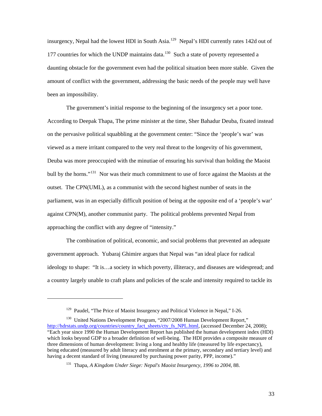insurgency, Nepal had the lowest HDI in South Asia.<sup>[129](#page-37-0)</sup> Nepal's HDI currently rates 142d out of 177 countries for which the UNDP maintains data. $130$  Such a state of poverty represented a been an impossibility. daunting obstacle for the government even had the political situation been more stable. Given the amount of conflict with the government, addressing the basic needs of the people may well have

 The government's initial response to the beginning of the insurgency set a poor tone. According to Deepak Thapa, The prime minister at the time, Sher Bahadur Deuba, fixated instead on the pervasive political squabbling at the government center: "Since the 'people's war' was viewed as a mere irritant compared to the very real threat to the longevity of his government, Deuba was more preoccupied with the minutiae of ensuring his survival than holding the Maoist bull by the horns."<sup>[131](#page-37-2)</sup> Nor was their much commitment to use of force against the Maoists at the outset. The CPN(UML), as a communist with the second highest number of seats in the parliament, was in an especially difficult position of being at the opposite end of a 'people's war' against CPN(M), another communist party. The political problems prevented Nepal from approaching the conflict with any degree of "intensity."

 The combination of political, economic, and social problems that prevented an adequate government approach. Yubaraj Ghimire argues that Nepal was "an ideal place for radical ideology to shape: "It is…a society in which poverty, illiteracy, and diseases are widespread; and a country largely unable to craft plans and policies of the scale and intensity required to tackle its

<sup>&</sup>lt;sup>129</sup> Paudel. "The Price of Maoist Insurgency and Political Violence in Nepal," I-26.

<span id="page-37-2"></span><span id="page-37-1"></span><span id="page-37-0"></span><sup>&</sup>lt;sup>130</sup> United Nations Development Program, "2007/2008 Human Development Report," [http://hdrstats.undp.org/countries/country\\_fact\\_sheets/cty\\_fs\\_NPL.html](http://hdrstats.undp.org/countries/country_fact_sheets/cty_fs_NPL.html), (accessed December 24, 2008); "Each year since 1990 the Human Development Report has published the human development index (HDI) which looks beyond GDP to a broader definition of well-being. The HDI provides a composite measure of three dimensions of human development: living a long and healthy life (measured by life expectancy), being educated (measured by adult literacy and enrolment at the primary, secondary and tertiary level) and having a decent standard of living (measured by purchasing power parity, PPP, income)."

<sup>131</sup> Thapa, *A Kingdom Under Siege: Nepal's Maoist Insurgency, 1996 to 2004*, 88.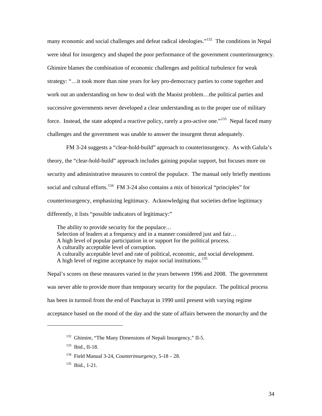many economic and social challenges and defeat radical ideologies."<sup>[132](#page-38-0)</sup> The conditions in Nepal were ideal for insurgency and shaped the poor performance of the government counterinsurgency. Ghimire blames the combination of economic challenges and political turbulence for weak strategy: "…it took more than nine years for key pro-democracy parties to come together and work out an understanding on how to deal with the Maoist problem…the political parties and successive governments never developed a clear understanding as to the proper use of military force. Instead, the state adopted a reactive policy, rarely a pro-active one."<sup>[133](#page-38-1)</sup> Nepal faced many challenges and the government was unable to answer the insurgent threat adequately.

 FM 3-24 suggests a "clear-hold-build" approach to counterinsurgency. As with Galula's theory, the "clear-hold-build" approach includes gaining popular support, but focuses more on security and administrative measures to control the populace. The manual only briefly mentions social and cultural efforts.<sup>[134](#page-38-2)</sup> FM 3-24 also contains a mix of historical "principles" for counterinsurgency, emphasizing legitimacy. Acknowledging that societies define legitimacy differently, it lists "possible indicators of legitimacy:"

The ability to provide security for the populace… Selection of leaders at a frequency and in a manner considered just and fair... A high level of popular participation in or support for the political process. A culturally acceptable level of corruption. A culturally acceptable level and rate of political, economic, and social development. A high level of regime acceptance by major social institutions.<sup>[135](#page-38-3)</sup>

Nepal's scores on these measures varied in the years between 1996 and 2008. The government was never able to provide more than temporary security for the populace. The political process has been in turmoil from the end of Panchayat in 1990 until present with varying regime acceptance based on the mood of the day and the state of affairs between the monarchy and the

<span id="page-38-0"></span><sup>132</sup> Ghimire, "The Many Dimensions of Nepali Insurgency," II-5.

<span id="page-38-1"></span><sup>133</sup> Ibid., II-18.

<span id="page-38-2"></span><sup>134</sup> Field Manual 3-24, *Counterinsurgency*, 5-18 – 28.

<span id="page-38-3"></span> $135$  Ibid., 1-21.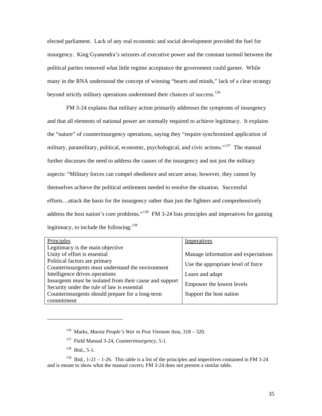elected parliament. Lack of any real economic and social development provided the fuel for insurgency. King Gyanendra's seizures of executive power and the constant turmoil between the political parties removed what little regime acceptance the government could garner. While many in the RNA understood the concept of winning "hearts and minds," lack of a clear strategy beyond strictly military operations undermined their chances of success.<sup>[136](#page-39-0)</sup>

 FM 3-24 explains that military action primarily addresses the symptoms of insurgency and that all elements of national power are normally required to achieve legitimacy. It explains the "nature" of counterinsurgency operations, saying they "require synchronized application of military, paramilitary, political, economic, psychological, and civic actions."<sup>[137](#page-39-1)</sup> The manual further discusses the need to address the causes of the insurgency and not just the military aspects: "Military forces can compel obedience and secure areas; however, they cannot by themselves achieve the political settlement needed to resolve the situation. Successful efforts…attack the basis for the insurgency rather than just the fighters and comprehensively address the host nation's core problems."<sup>[138](#page-39-2)</sup> FM 3-24 lists principles and imperatives for gaining legitimacy, to include the following:  $139$ 

| Principles                                               | Imperatives                         |
|----------------------------------------------------------|-------------------------------------|
| Legitimacy is the main objective                         |                                     |
| Unity of effort is essential                             | Manage information and expectations |
| Political factors are primary                            | Use the appropriate level of force  |
| Counterinsurgents must understand the environment        |                                     |
| Intelligence drives operations                           | Learn and adapt                     |
| Insurgents must be isolated from their cause and support | Empower the lowest levels           |
| Security under the rule of law is essential              |                                     |
| Counterinsurgents should prepare for a long-term         | Support the host nation             |
| commitment                                               |                                     |

<span id="page-39-0"></span> $\overline{a}$ 

<sup>136</sup> Marks, *Maoist People's War in Post Vietnam Asia*, 318 – 320.

<sup>137</sup> Field Manual 3-24, *Counterinsurgency*, 5-1.

 $138$  Ibid., 5-1.

<span id="page-39-3"></span><span id="page-39-2"></span><span id="page-39-1"></span><sup>&</sup>lt;sup>139</sup> Ibid., 1-21 – 1-26. This table is a list of the principles and imperitives contained in FM 3-24 and is meant to show what the manual covers; FM 3-24 does not present a similar table.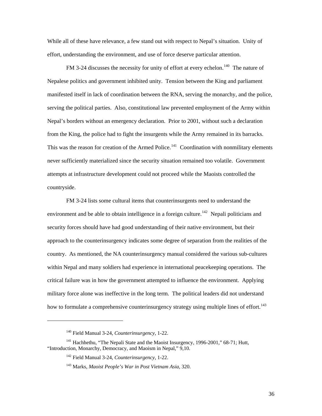While all of these have relevance, a few stand out with respect to Nepal's situation. Unity of effort, understanding the environment, and use of force deserve particular attention.

FM 3-24 discusses the necessity for unity of effort at every echelon.<sup>[140](#page-40-0)</sup> The nature of Nepalese politics and government inhibited unity. Tension between the King and parliament manifested itself in lack of coordination between the RNA, serving the monarchy, and the police, serving the political parties. Also, constitutional law prevented employment of the Army within Nepal's borders without an emergency declaration. Prior to 2001, without such a declaration from the King, the police had to fight the insurgents while the Army remained in its barracks. This was the reason for creation of the Armed Police.<sup>[141](#page-40-1)</sup> Coordination with nonmilitary elements never sufficiently materialized since the security situation remained too volatile. Government attempts at infrastructure development could not proceed while the Maoists controlled the countryside.

 FM 3-24 lists some cultural items that counterinsurgents need to understand the environment and be able to obtain intelligence in a foreign culture.<sup>[142](#page-40-2)</sup> Nepali politicians and security forces should have had good understanding of their native environment, but their approach to the counterinsurgency indicates some degree of separation from the realities of the country. As mentioned, the NA counterinsurgency manual considered the various sub-cultures within Nepal and many soldiers had experience in international peacekeeping operations. The critical failure was in how the government attempted to influence the environment. Applying military force alone was ineffective in the long term. The political leaders did not understand how to formulate a comprehensive counterinsurgency strategy using multiple lines of effort.<sup>[143](#page-40-3)</sup>

<sup>140</sup> Field Manual 3-24, *Counterinsurgency*, 1-22.

<span id="page-40-3"></span><span id="page-40-2"></span><span id="page-40-1"></span><span id="page-40-0"></span><sup>&</sup>lt;sup>141</sup> Hachhethu, "The Nepali State and the Maoist Insurgency, 1996-2001," 68-71; Hutt, "Introduction, Monarchy, Democracy, and Maoism in Nepal," 9,10.

<sup>142</sup> Field Manual 3-24, *Counterinsurgency*, 1-22.

<sup>143</sup> Marks, *Maoist People's War in Post Vietnam Asia*, 320.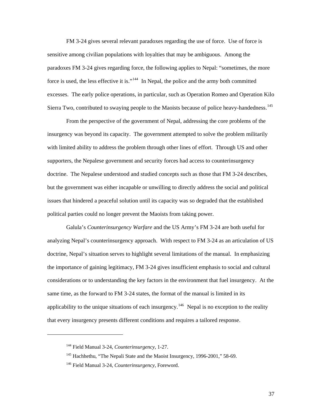FM 3-24 gives several relevant paradoxes regarding the use of force. Use of force is sensitive among civilian populations with loyalties that may be ambiguous. Among the paradoxes FM 3-24 gives regarding force, the following applies to Nepal: "sometimes, the more force is used, the less effective it is."<sup>[144](#page-41-0)</sup> In Nepal, the police and the army both committed excesses. The early police operations, in particular, such as Operation Romeo and Operation Kilo Sierra Two, contributed to swaying people to the Maoists because of police heavy-handedness.<sup>[145](#page-41-1)</sup>

From the perspective of the government of Nepal, addressing the core problems of the insurgency was beyond its capacity. The government attempted to solve the problem militarily with limited ability to address the problem through other lines of effort. Through US and other supporters, the Nepalese government and security forces had access to counterinsurgency doctrine. The Nepalese understood and studied concepts such as those that FM 3-24 describes, but the government was either incapable or unwilling to directly address the social and political issues that hindered a peaceful solution until its capacity was so degraded that the established political parties could no longer prevent the Maoists from taking power.

Galula's *Counterinsurgency Warfare* and the US Army's FM 3-24 are both useful for analyzing Nepal's counterinsurgency approach. With respect to FM 3-24 as an articulation of US doctrine, Nepal's situation serves to highlight several limitations of the manual. In emphasizing the importance of gaining legitimacy, FM 3-24 gives insufficient emphasis to social and cultural considerations or to understanding the key factors in the environment that fuel insurgency. At the same time, as the forward to FM 3-24 states, the format of the manual is limited in its applicability to the unique situations of each insurgency.<sup>[146](#page-41-2)</sup> Nepal is no exception to the reality that every insurgency presents different conditions and requires a tailored response.

<span id="page-41-0"></span><sup>144</sup> Field Manual 3-24, *Counterinsurgency*, 1-27.

<span id="page-41-1"></span><sup>&</sup>lt;sup>145</sup> Hachhethu, "The Nepali State and the Maoist Insurgency, 1996-2001," 58-69.

<span id="page-41-2"></span><sup>146</sup> Field Manual 3-24, *Counterinsurgency*, Foreword.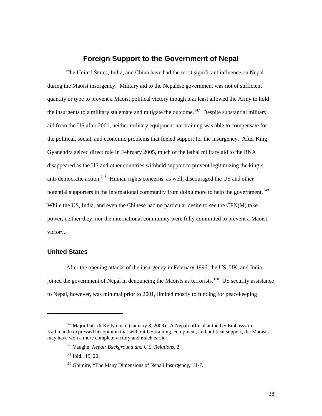# **Foreign Support to the Government of Nepal**

<span id="page-42-0"></span>The United States, India, and China have had the most significant influence on Nepal during the Maoist insurgency. Military aid to the Nepalese government was not of sufficient quantity or type to prevent a Maoist political victory though it at least allowed the Army to hold the insurgents to a military stalemate and mitigate the outcome.<sup>[147](#page-42-1)</sup> Despite substantial military aid from the US after 2001, neither military equipment nor training was able to compensate for the political, social, and economic problems that fueled support for the insurgency. After King Gyanendra seized direct rule in February 2005, much of the lethal military aid to the RNA disappeared as the US and other countries withheld support to prevent legitimizing the king's anti-democratic action.<sup>[148](#page-42-2)</sup> Human rights concerns, as well, discouraged the US and other potential supporters in the international community from doing more to help the government.<sup>[149](#page-42-3)</sup> While the US, India, and even the Chinese had no particular desire to see the CPN(M) take power, neither they, nor the international community were fully committed to prevent a Maoist victory.

#### **United States**

l

After the opening attacks of the insurgency in February 1996, the US, UK, and India ioined the government of Nepal in denouncing the Maoists as terrorists.<sup>[150](#page-42-4)</sup> US security assistance to Nepal, however, was minimal prior to 2001, limited mostly to funding for peacekeeping

<span id="page-42-4"></span><span id="page-42-3"></span><span id="page-42-2"></span><span id="page-42-1"></span> $147$  Major Patrick Kelly email (January 8, 2009). A Nepali official at the US Embassy in Kathmandu expressed his opinion that without US training, equipment, and political support, the Maoists may have won a more complete victory and much earlier.

<sup>148</sup> Vaughn, *Nepal: Background and U.S. Relations*, 2.

<sup>&</sup>lt;sup>149</sup> Ibid., 19, 20.

<sup>&</sup>lt;sup>150</sup> Ghimire, "The Many Dimensions of Nepali Insurgency," II-7.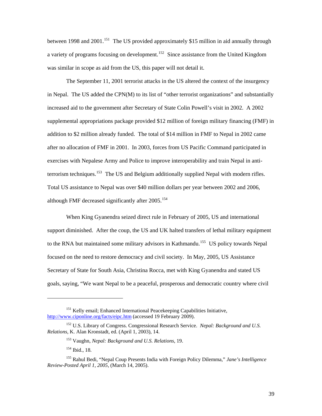between 1998 and 2001.<sup>[151](#page-43-0)</sup> The US provided approximately \$15 million in aid annually through a variety of programs focusing on development.<sup>[152](#page-43-1)</sup> Since assistance from the United Kingdom was similar in scope as aid from the US, this paper will not detail it.

The September 11, 2001 terrorist attacks in the US altered the context of the insurgency in Nepal. The US added the CPN(M) to its list of "other terrorist organizations" and substantially increased aid to the government after Secretary of State Colin Powell's visit in 2002. A 2002 supplemental appropriations package provided \$12 million of foreign military financing (FMF) in addition to \$2 million already funded. The total of \$14 million in FMF to Nepal in 2002 came after no allocation of FMF in 2001. In 2003, forces from US Pacific Command participated in exercises with Nepalese Army and Police to improve interoperability and train Nepal in anti-terrorism techniques.<sup>[153](#page-43-2)</sup> The US and Belgium additionally supplied Nepal with modern rifles. Total US assistance to Nepal was over \$40 million dollars per year between 2002 and 2006, although FMF decreased significantly after  $2005$ .<sup>[154](#page-43-3)</sup>

When King Gyanendra seized direct rule in February of 2005, US and international support diminished. After the coup, the US and UK halted transfers of lethal military equipment to the RNA but maintained some military advisors in Kathmandu.<sup>[155](#page-43-4)</sup> US policy towards Nepal focused on the need to restore democracy and civil society. In May, 2005, US Assistance Secretary of State for South Asia, Christina Rocca, met with King Gyanendra and stated US goals, saying, "We want Nepal to be a peaceful, prosperous and democratic country where civil

 $\overline{a}$ 

<span id="page-43-0"></span><sup>&</sup>lt;sup>151</sup> Kelly email; Enhanced International Peacekeeping Capabilities Initiative, <http://www.ciponline.org/facts/eipc.htm> (accessed 19 February 2009).

<span id="page-43-2"></span><span id="page-43-1"></span><sup>152</sup> U.S. Library of Congress. Congressional Research Service. *Nepal: Background and U.S. Relations*, K. Alan Kronstadt, ed. (April 1, 2003), 14.

<sup>153</sup> Vaughn, *Nepal: Background and U.S. Relations*, 19.

<sup>154</sup> Ibid., 18.

<span id="page-43-4"></span><span id="page-43-3"></span><sup>155</sup> Rahul Bedi, "Nepal Coup Presents India with Foreign Policy Dilemma," *Jane's Intelligence Review-Posted April 1, 2005*, (March 14, 2005).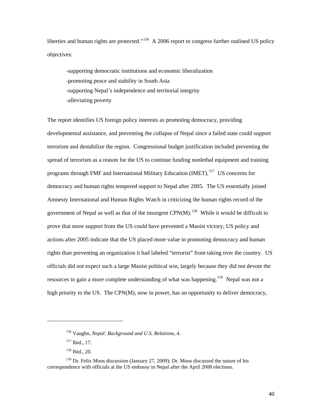liberties and human rights are protected."<sup>[156](#page-44-0)</sup> A 2006 report to congress further outlined US policy objectives:

-supporting democratic institutions and economic liberalization -promoting peace and stability in South Asia -supporting Nepal's independence and territorial integrity -alleviating poverty

The report identifies US foreign policy interests as promoting democracy, providing developmental assistance, and preventing the collapse of Nepal since a failed state could support terrorism and destabilize the region. Congressional budget justification included preventing the spread of terrorism as a reason for the US to continue funding nonlethal equipment and training programs through FMF and International Military Education (IMET).<sup>[157](#page-44-1)</sup> US concerns for democracy and human rights tempered support to Nepal after 2005. The US essentially joined Amnesty International and Human Rights Watch in criticizing the human rights record of the government of Nepal as well as that of the insurgent  $CPN(M)$ .<sup>[158](#page-44-2)</sup> While it would be difficult to prove that more support from the US could have prevented a Maoist victory, US policy and actions after 2005 indicate that the US placed more value in promoting democracy and human rights than preventing an organization it had labeled "terrorist" from taking over the country. US officials did not expect such a large Maoist political win, largely because they did not devote the resources to gain a more complete understanding of what was happening.<sup>[159](#page-44-3)</sup> Nepal was not a high priority to the US. The CPN(M), now in power, has an opportunity to deliver democracy,

<sup>156</sup> Vaughn, *Nepal: Background and U.S. Relations*, 4.

<sup>157</sup> Ibid., 17.

<sup>158</sup> Ibid., 20.

<span id="page-44-3"></span><span id="page-44-2"></span><span id="page-44-1"></span><span id="page-44-0"></span> $159$  Dr. Felix Moos discussion (January 27, 2009); Dr. Moos discussed the nature of his correspondence with officials at the US embassy in Nepal after the April 2008 elections.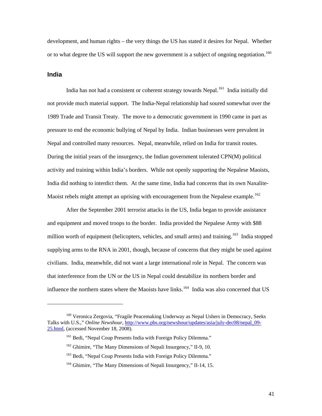<span id="page-45-0"></span>development, and human rights – the very things the US has stated it desires for Nepal. Whether or to what degree the US will support the new government is a subject of ongoing negotiation.<sup>[160](#page-45-1)</sup>

#### **India**

1

India has not had a consistent or coherent strategy towards Nepal.<sup>[161](#page-45-2)</sup> India initially did not provide much material support. The India-Nepal relationship had soured somewhat over the 1989 Trade and Transit Treaty. The move to a democratic government in 1990 came in part as pressure to end the economic bullying of Nepal by India. Indian businesses were prevalent in Nepal and controlled many resources. Nepal, meanwhile, relied on India for transit routes. During the initial years of the insurgency, the Indian government tolerated CPN(M) political activity and training within India's borders. While not openly supporting the Nepalese Maoists, India did nothing to interdict them. At the same time, India had concerns that its own Naxalite-Maoist rebels might attempt an uprising with encouragement from the Nepalese example.<sup>[162](#page-45-3)</sup>

After the September 2001 terrorist attacks in the US, India began to provide assistance and equipment and moved troops to the border. India provided the Nepalese Army with \$88 million worth of equipment (helicopters, vehicles, and small arms) and training.<sup>[163](#page-45-4)</sup> India stopped supplying arms to the RNA in 2001, though, because of concerns that they might be used against civilians. India, meanwhile, did not want a large international role in Nepal. The concern was that interference from the UN or the US in Nepal could destabilize its northern border and influence the northern states where the Maoists have links.<sup>[164](#page-45-5)</sup> India was also concerned that US

<span id="page-45-4"></span><span id="page-45-3"></span><span id="page-45-2"></span><span id="page-45-1"></span><sup>&</sup>lt;sup>160</sup> Veronica Zergovia, "Fragile Peacemaking Underway as Nepal Ushers in Democracy, Seeks Talks with U.S.," *Online Newshour*, [http://www.pbs.org/newshour/updates/asia/july-dec08/nepal\\_09-](http://www.pbs.org/newshour/updates/asia/july-dec08/nepal_09-25.html) [25.html,](http://www.pbs.org/newshour/updates/asia/july-dec08/nepal_09-25.html) (accessed November 18, 2008).

<sup>&</sup>lt;sup>161</sup> Bedi, "Nepal Coup Presents India with Foreign Policy Dilemma."

<sup>162</sup> Ghimire, "The Many Dimensions of Nepali Insurgency," II-9, 10.

<sup>&</sup>lt;sup>163</sup> Bedi, "Nepal Coup Presents India with Foreign Policy Dilemma."

<span id="page-45-5"></span><sup>&</sup>lt;sup>164</sup> Ghimire, "The Many Dimensions of Nepali Insurgency," II-14, 15.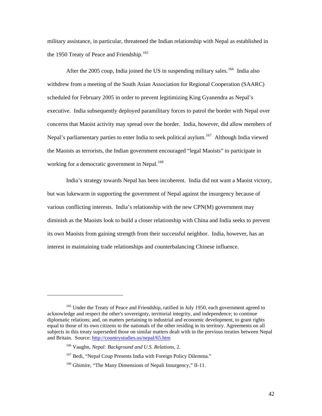military assistance, in particular, threatened the Indian relationship with Nepal as established in the 1950 Treaty of Peace and Friendship.<sup>[165](#page-46-0)</sup>

After the 2005 coup, India joined the US in suspending military sales.<sup>[166](#page-46-1)</sup> India also withdrew from a meeting of the South Asian Association for Regional Cooperation (SAARC) scheduled for February 2005 in order to prevent legitimizing King Gyanendra as Nepal's executive. India subsequently deployed paramilitary forces to patrol the border with Nepal over concerns that Maoist activity may spread over the border. India, however, did allow members of Nepal's parliamentary parties to enter India to seek political asylum.<sup>[167](#page-46-2)</sup> Although India viewed the Maoists as terrorists, the Indian government encouraged "legal Maoists" to participate in working for a democratic government in Nepal.<sup>[168](#page-46-3)</sup>

 India's strategy towards Nepal has been incoherent. India did not want a Maoist victory, but was lukewarm in supporting the government of Nepal against the insurgency because of various conflicting interests. India's relationship with the new CPN(M) government may diminish as the Maoists look to build a closer relationship with China and India seeks to prevent its own Maoists from gaining strength from their successful neighbor. India, however, has an interest in maintaining trade relationships and counterbalancing Chinese influence.

<span id="page-46-1"></span><span id="page-46-0"></span><sup>&</sup>lt;sup>165</sup> Under the Treaty of Peace and Friendship, ratified in July 1950, each government agreed to acknowledge and respect the other's sovereignty, territorial integrity, and independence; to continue diplomatic relations; and, on matters pertaining to industrial and economic development, to grant rights equal to those of its own citizens to the nationals of the other residing in its territory. Agreements on all subjects in this treaty superseded those on similar matters dealt with in the previous treaties between Nepal and Britain. Source:<http://countrystudies.us/nepal/65.htm>

<sup>166</sup> Vaughn, *Nepal: Background and U.S. Relations*, 2.

<span id="page-46-2"></span><sup>&</sup>lt;sup>167</sup> Bedi, "Nepal Coup Presents India with Foreign Policy Dilemma."

<span id="page-46-3"></span><sup>&</sup>lt;sup>168</sup> Ghimire, "The Many Dimensions of Nepali Insurgency," II-11.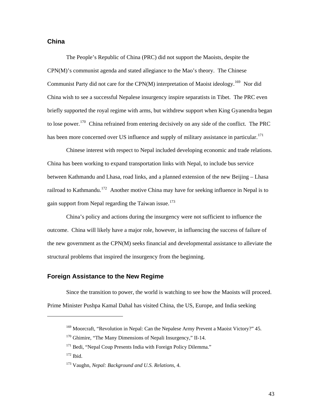#### <span id="page-47-0"></span>**China**

The People's Republic of China (PRC) did not support the Maoists, despite the CPN(M)'s communist agenda and stated allegiance to the Mao's theory. The Chinese Communist Party did not care for the CPN(M) interpretation of Maoist ideology.<sup>[169](#page-47-1)</sup> Nor did China wish to see a successful Nepalese insurgency inspire separatists in Tibet. The PRC even briefly supported the royal regime with arms, but withdrew support when King Gyanendra began to lose power.<sup>[170](#page-47-2)</sup> China refrained from entering decisively on any side of the conflict. The PRC has been more concerned over US influence and supply of military assistance in particular.<sup>[171](#page-47-3)</sup>

Chinese interest with respect to Nepal included developing economic and trade relations. China has been working to expand transportation links with Nepal, to include bus service between Kathmandu and Lhasa, road links, and a planned extension of the new Beijing – Lhasa railroad to Kathmandu.<sup>[172](#page-47-4)</sup> Another motive China may have for seeking influence in Nepal is to gain support from Nepal regarding the Taiwan issue.<sup>[173](#page-47-5)</sup>

China's policy and actions during the insurgency were not sufficient to influence the outcome. China will likely have a major role, however, in influencing the success of failure of the new government as the CPN(M) seeks financial and developmental assistance to alleviate the structural problems that inspired the insurgency from the beginning.

## **Foreign Assistance to the New Regime**

 Since the transition to power, the world is watching to see how the Maoists will proceed. Prime Minister Pushpa Kamal Dahal has visited China, the US, Europe, and India seeking

<span id="page-47-4"></span><span id="page-47-3"></span><span id="page-47-2"></span><span id="page-47-1"></span> $\overline{a}$ 

<sup>&</sup>lt;sup>169</sup> Moorcraft, "Revolution in Nepal: Can the Nepalese Army Prevent a Maoist Victory?" 45.

<sup>&</sup>lt;sup>170</sup> Ghimire, "The Many Dimensions of Nepali Insurgency," II-14.

<sup>&</sup>lt;sup>171</sup> Bedi. "Nepal Coup Presents India with Foreign Policy Dilemma."

<sup>172</sup> Ibid.

<span id="page-47-5"></span><sup>173</sup> Vaughn, *Nepal: Background and U.S. Relations*, 4.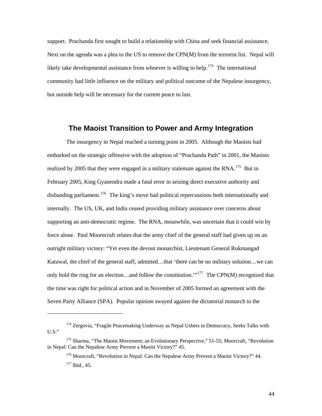<span id="page-48-0"></span>support. Prachanda first sought to build a relationship with China and seek financial assistance. Next on the agenda was a plea to the US to remove the CPN(M) from the terrorist list. Nepal will likely take developmental assistance from whoever is willing to help.<sup>[174](#page-48-1)</sup> The international community had little influence on the military and political outcome of the Nepalese insurgency, but outside help will be necessary for the current peace to last.

# **The Maoist Transition to Power and Army Integration**

The insurgency in Nepal reached a turning point in 2005. Although the Maoists had embarked on the strategic offensive with the adoption of "Prachanda Path" in 2001, the Maoists realized by 2005 that they were engaged in a military stalemate against the RNA.<sup>[175](#page-48-2)</sup> But in February 2005, King Gyanendra made a fatal error in seizing direct executive authority and disbanding parliament.<sup>[176](#page-48-3)</sup> The king's move had political repercussions both internationally and internally. The US, UK, and India ceased providing military assistance over concerns about supporting an anti-democratic regime. The RNA, meanwhile, was uncertain that it could win by force alone. Paul Moorecraft relates that the army chief of the general staff had given up on an outright military victory: "Yet even the devout monarchist, Lieutenant General Rukmangad Katuwal, the chief of the general staff, admitted…that 'there can be no military solution…we can only hold the ring for an election...and follow the constitution."<sup>[177](#page-48-4)</sup> The CPN(M) recognized that the time was right for political action and in November of 2005 formed an agreement with the Seven Party Alliance (SPA). Popular opinion swayed against the dictatorial monarch to the

<span id="page-48-1"></span><sup>&</sup>lt;sup>174</sup> Zergovia, "Fragile Peacemaking Underway as Nepal Ushers in Democracy, Seeks Talks with U.S."

<span id="page-48-4"></span><span id="page-48-3"></span><span id="page-48-2"></span><sup>&</sup>lt;sup>175</sup> Sharma, "The Maoist Movement; an Evolutionary Perspective," 51-55; Moorcraft, "Revolution in Nepal: Can the Nepalese Army Prevent a Maoist Victory?" 45.

<sup>&</sup>lt;sup>176</sup> Moorcraft, "Revolution in Nepal: Can the Nepalese Army Prevent a Maoist Victory?" 44. <sup>177</sup> Ibid., 45.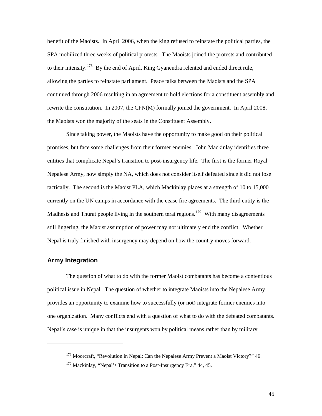<span id="page-49-0"></span>benefit of the Maoists. In April 2006, when the king refused to reinstate the political parties, the SPA mobilized three weeks of political protests. The Maoists joined the protests and contributed to their intensity.<sup>[178](#page-49-1)</sup> By the end of April, King Gyanendra relented and ended direct rule, allowing the parties to reinstate parliament. Peace talks between the Maoists and the SPA continued through 2006 resulting in an agreement to hold elections for a constituent assembly and rewrite the constitution. In 2007, the CPN(M) formally joined the government. In April 2008, the Maoists won the majority of the seats in the Constituent Assembly.

Since taking power, the Maoists have the opportunity to make good on their political promises, but face some challenges from their former enemies. John Mackinlay identifies three entities that complicate Nepal's transition to post-insurgency life. The first is the former Royal Nepalese Army, now simply the NA, which does not consider itself defeated since it did not lose tactically. The second is the Maoist PLA, which Mackinlay places at a strength of 10 to 15,000 currently on the UN camps in accordance with the cease fire agreements. The third entity is the Madhesis and Thurat people living in the southern terai regions.<sup>[179](#page-49-2)</sup> With many disagreements still lingering, the Maoist assumption of power may not ultimately end the conflict. Whether Nepal is truly finished with insurgency may depend on how the country moves forward.

#### **Army Integration**

<span id="page-49-2"></span><span id="page-49-1"></span>-

The question of what to do with the former Maoist combatants has become a contentious political issue in Nepal. The question of whether to integrate Maoists into the Nepalese Army provides an opportunity to examine how to successfully (or not) integrate former enemies into one organization. Many conflicts end with a question of what to do with the defeated combatants. Nepal's case is unique in that the insurgents won by political means rather than by military

<sup>&</sup>lt;sup>178</sup> Moorcraft, "Revolution in Nepal: Can the Nepalese Army Prevent a Maoist Victory?" 46.

 $179$  Mackinlay, "Nepal's Transition to a Post-Insurgency Era," 44, 45.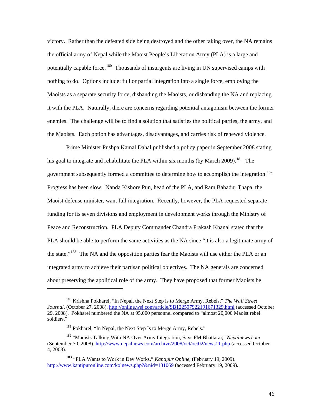victory. Rather than the defeated side being destroyed and the other taking over, the NA remains the official army of Nepal while the Maoist People's Liberation Army (PLA) is a large and potentially capable force.<sup>[180](#page-50-0)</sup> Thousands of insurgents are living in UN supervised camps with nothing to do. Options include: full or partial integration into a single force, employing the Maoists as a separate security force, disbanding the Maoists, or disbanding the NA and replacing it with the PLA. Naturally, there are concerns regarding potential antagonism between the former enemies. The challenge will be to find a solution that satisfies the political parties, the army, and the Maoists. Each option has advantages, disadvantages, and carries risk of renewed violence.

Prime Minister Pushpa Kamal Dahal published a policy paper in September 2008 stating his goal to integrate and rehabilitate the PLA within six months (by March 2009).<sup>[181](#page-50-1)</sup> The government subsequently formed a committee to determine how to accomplish the integration.<sup>[182](#page-50-2)</sup> Progress has been slow. Nanda Kishore Pun, head of the PLA, and Ram Bahadur Thapa, the Maoist defense minister, want full integration. Recently, however, the PLA requested separate funding for its seven divisions and employment in development works through the Ministry of Peace and Reconstruction. PLA Deputy Commander Chandra Prakash Khanal stated that the PLA should be able to perform the same activities as the NA since "it is also a legitimate army of the state."<sup>[183](#page-50-3)</sup> The NA and the opposition parties fear the Maoists will use either the PLA or an integrated army to achieve their partisan political objectives. The NA generals are concerned about preserving the apolitical role of the army. They have proposed that former Maoists be

<span id="page-50-0"></span><sup>180</sup> Krishna Pokharel, "In Nepal, the Next Step is to Merge Army, Rebels," *The Wall Street Journal*, (October 27, 2008).<http://online.wsj.com/article/SB122507922191671329.html> (accessed October 29, 2008). Pokharel numbered the NA at 95,000 personnel compared to "almost 20,000 Maoist rebel soldiers."

<sup>&</sup>lt;sup>181</sup> Pokharel, "In Nepal, the Next Step Is to Merge Army, Rebels."

<span id="page-50-2"></span><span id="page-50-1"></span><sup>182 &</sup>quot;Maoists Talking With NA Over Army Integration, Says FM Bhattarai," *Nepalnews.com* (September 30, 2008). <http://www.nepalnews.com/archive/2008/oct/oct02/news11.php>(accessed October 4, 2008).

<span id="page-50-3"></span><sup>183</sup> "PLA Wants to Work in Dev Works," *Kantipur Online*, (February 19, 2009). <http://www.kantipuronline.com/kolnews.php?&nid=181069> (accessed February 19, 2009).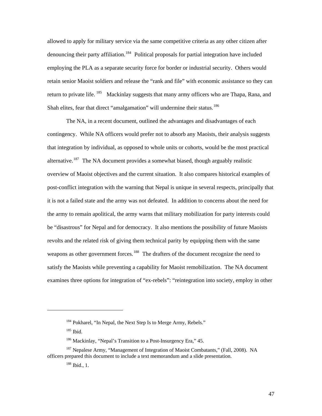allowed to apply for military service via the same competitive criteria as any other citizen after denouncing their party affiliation.<sup>[184](#page-51-0)</sup> Political proposals for partial integration have included employing the PLA as a separate security force for border or industrial security. Others would retain senior Maoist soldiers and release the "rank and file" with economic assistance so they can return to private life.  $185$  Mackinlay suggests that many army officers who are Thapa, Rana, and Shah elites, fear that direct "amalgamation" will undermine their status.<sup>[186](#page-51-2)</sup>

The NA, in a recent document, outlined the advantages and disadvantages of each contingency. While NA officers would prefer not to absorb any Maoists, their analysis suggests that integration by individual, as opposed to whole units or cohorts, would be the most practical alternative.<sup>[187](#page-51-3)</sup> The NA document provides a somewhat biased, though arguably realistic overview of Maoist objectives and the current situation. It also compares historical examples of post-conflict integration with the warning that Nepal is unique in several respects, principally that it is not a failed state and the army was not defeated. In addition to concerns about the need for the army to remain apolitical, the army warns that military mobilization for party interests could be "disastrous" for Nepal and for democracy. It also mentions the possibility of future Maoists revolts and the related risk of giving them technical parity by equipping them with the same weapons as other government forces.<sup>[188](#page-51-4)</sup> The drafters of the document recognize the need to satisfy the Maoists while preventing a capability for Maoist remobilization. The NA document examines three options for integration of "ex-rebels": "reintegration into society, employ in other

<sup>&</sup>lt;sup>184</sup> Pokharel, "In Nepal, the Next Step Is to Merge Army, Rebels."

 $185$  Ibid.

<sup>&</sup>lt;sup>186</sup> Mackinlay, "Nepal's Transition to a Post-Insurgency Era," 45.

<span id="page-51-4"></span><span id="page-51-3"></span><span id="page-51-2"></span><span id="page-51-1"></span><span id="page-51-0"></span><sup>&</sup>lt;sup>187</sup> Nepalese Army, "Management of Integration of Maoist Combatants," (Fall, 2008). NA officers prepared this document to include a text memorandum and a slide presentation.

<sup>188</sup> Ibid., 1.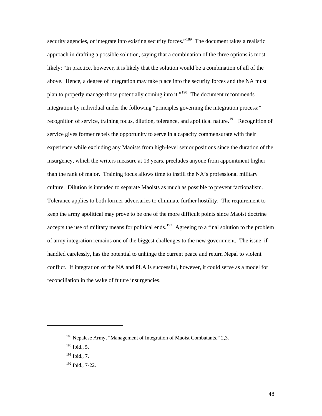security agencies, or integrate into existing security forces."<sup>[189](#page-52-0)</sup> The document takes a realistic approach in drafting a possible solution, saying that a combination of the three options is most likely: "In practice, however, it is likely that the solution would be a combination of all of the above. Hence, a degree of integration may take place into the security forces and the NA must plan to properly manage those potentially coming into it."<sup>[190](#page-52-1)</sup> The document recommends integration by individual under the following "principles governing the integration process:" recognition of service, training focus, dilution, tolerance, and apolitical nature.<sup>[191](#page-52-2)</sup> Recognition of service gives former rebels the opportunity to serve in a capacity commensurate with their experience while excluding any Maoists from high-level senior positions since the duration of the insurgency, which the writers measure at 13 years, precludes anyone from appointment higher than the rank of major. Training focus allows time to instill the NA's professional military culture. Dilution is intended to separate Maoists as much as possible to prevent factionalism. Tolerance applies to both former adversaries to eliminate further hostility. The requirement to keep the army apolitical may prove to be one of the more difficult points since Maoist doctrine accepts the use of military means for political ends.<sup>[192](#page-52-3)</sup> Agreeing to a final solution to the problem of army integration remains one of the biggest challenges to the new government. The issue, if handled carelessly, has the potential to unhinge the current peace and return Nepal to violent conflict. If integration of the NA and PLA is successful, however, it could serve as a model for reconciliation in the wake of future insurgencies.

<span id="page-52-0"></span><sup>&</sup>lt;sup>189</sup> Nepalese Army, "Management of Integration of Maoist Combatants," 2,3.

<span id="page-52-1"></span> $190$  Ibid., 5.

<span id="page-52-2"></span><sup>&</sup>lt;sup>191</sup> Ibid., 7.

<span id="page-52-3"></span><sup>192</sup> Ibid., 7-22.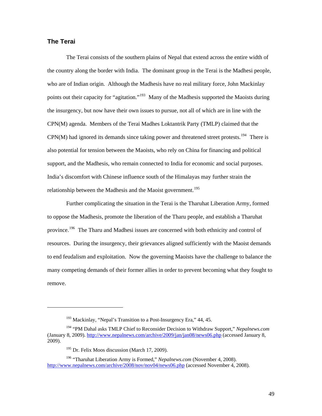#### <span id="page-53-0"></span>**The Terai**

1

The Terai consists of the southern plains of Nepal that extend across the entire width of the country along the border with India. The dominant group in the Terai is the Madhesi people, who are of Indian origin. Although the Madhesis have no real military force, John Mackinlay points out their capacity for "agitation."<sup>[193](#page-53-1)</sup> Many of the Madhesis supported the Maoists during the insurgency, but now have their own issues to pursue, not all of which are in line with the CPN(M) agenda. Members of the Terai Madhes Loktantrik Party (TMLP) claimed that the  $CPN(M)$  had ignored its demands since taking power and threatened street protests.<sup>[194](#page-53-2)</sup> There is also potential for tension between the Maoists, who rely on China for financing and political support, and the Madhesis, who remain connected to India for economic and social purposes. India's discomfort with Chinese influence south of the Himalayas may further strain the relationship between the Madhesis and the Maoist government.<sup>[195](#page-53-3)</sup>

Further complicating the situation in the Terai is the Tharuhat Liberation Army, formed to oppose the Madhesis, promote the liberation of the Tharu people, and establish a Tharuhat province.<sup>[196](#page-53-4)</sup> The Tharu and Madhesi issues are concerned with both ethnicity and control of resources. During the insurgency, their grievances aligned sufficiently with the Maoist demands to end feudalism and exploitation. Now the governing Maoists have the challenge to balance the many competing demands of their former allies in order to prevent becoming what they fought to remove.

 $193$  Mackinlay, "Nepal's Transition to a Post-Insurgency Era," 44, 45.

<span id="page-53-2"></span><span id="page-53-1"></span><sup>194 &</sup>quot;PM Dahal asks TMLP Chief to Reconsider Decision to Withdraw Support," *Nepalnews.com*  (January 8, 2009).<http://www.nepalnews.com/archive/2009/jan/jan08/news06.php> (accessed January 8, 2009).

<sup>&</sup>lt;sup>195</sup> Dr. Felix Moos discussion (March 17, 2009).

<span id="page-53-4"></span><span id="page-53-3"></span><sup>196 &</sup>quot;Tharuhat Liberation Army is Formed," *Nepalnews.com* (November 4, 2008). <http://www.nepalnews.com/archive/2008/nov/nov04/news06.php> (accessed November 4, 2008).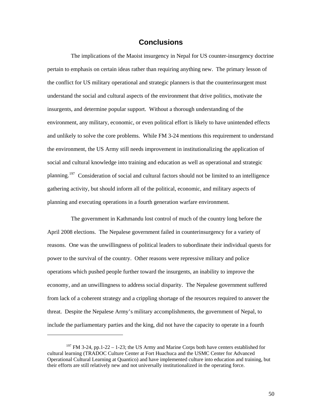# **Conclusions**

<span id="page-54-0"></span>The implications of the Maoist insurgency in Nepal for US counter-insurgency doctrine pertain to emphasis on certain ideas rather than requiring anything new. The primary lesson of the conflict for US military operational and strategic planners is that the counterinsurgent must understand the social and cultural aspects of the environment that drive politics, motivate the insurgents, and determine popular support. Without a thorough understanding of the environment, any military, economic, or even political effort is likely to have unintended effects and unlikely to solve the core problems. While FM 3-24 mentions this requirement to understand the environment, the US Army still needs improvement in institutionalizing the application of social and cultural knowledge into training and education as well as operational and strategic planning.<sup>[197](#page-54-1)</sup> Consideration of social and cultural factors should not be limited to an intelligence gathering activity, but should inform all of the political, economic, and military aspects of planning and executing operations in a fourth generation warfare environment.

The government in Kathmandu lost control of much of the country long before the April 2008 elections. The Nepalese government failed in counterinsurgency for a variety of reasons. One was the unwillingness of political leaders to subordinate their individual quests for power to the survival of the country. Other reasons were repressive military and police operations which pushed people further toward the insurgents, an inability to improve the economy, and an unwillingness to address social disparity. The Nepalese government suffered from lack of a coherent strategy and a crippling shortage of the resources required to answer the threat. Despite the Nepalese Army's military accomplishments, the government of Nepal, to include the parliamentary parties and the king, did not have the capacity to operate in a fourth

<span id="page-54-1"></span> $197$  FM 3-24, pp.1-22 – 1-23; the US Army and Marine Corps both have centers established for cultural learning (TRADOC Culture Center at Fort Huachuca and the USMC Center for Advanced Operational Cultural Learning at Quantico) and have implemented culture into education and training, but their efforts are still relatively new and not universally institutionalized in the operating force.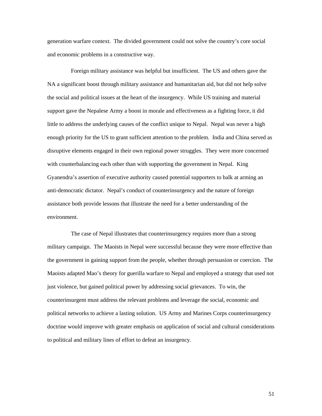generation warfare context. The divided government could not solve the country's core social and economic problems in a constructive way.

Foreign military assistance was helpful but insufficient. The US and others gave the NA a significant boost through military assistance and humanitarian aid, but did not help solve the social and political issues at the heart of the insurgency. While US training and material support gave the Nepalese Army a boost in morale and effectiveness as a fighting force, it did little to address the underlying causes of the conflict unique to Nepal. Nepal was never a high enough priority for the US to grant sufficient attention to the problem. India and China served as disruptive elements engaged in their own regional power struggles. They were more concerned with counterbalancing each other than with supporting the government in Nepal. King Gyanendra's assertion of executive authority caused potential supporters to balk at arming an anti-democratic dictator. Nepal's conduct of counterinsurgency and the nature of foreign assistance both provide lessons that illustrate the need for a better understanding of the environment.

The case of Nepal illustrates that counterinsurgency requires more than a strong military campaign. The Maoists in Nepal were successful because they were more effective than the government in gaining support from the people, whether through persuasion or coercion. The Maoists adapted Mao's theory for guerilla warfare to Nepal and employed a strategy that used not just violence, but gained political power by addressing social grievances. To win, the counterinsurgent must address the relevant problems and leverage the social, economic and political networks to achieve a lasting solution. US Army and Marines Corps counterinsurgency doctrine would improve with greater emphasis on application of social and cultural considerations to political and military lines of effort to defeat an insurgency.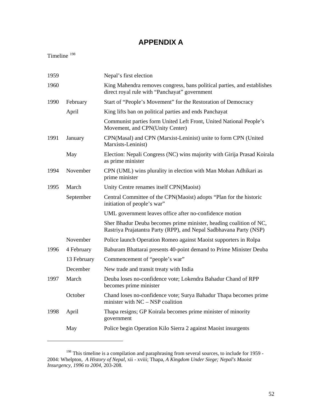# **APPENDIX A**

<span id="page-56-0"></span>Timeline [198](#page-56-1)

| 1959 |             | Nepal's first election                                                                                                                   |
|------|-------------|------------------------------------------------------------------------------------------------------------------------------------------|
| 1960 |             | King Mahendra removes congress, bans political parties, and establishes<br>direct royal rule with "Panchayat" government                 |
| 1990 | February    | Start of "People's Movement" for the Restoration of Democracy                                                                            |
|      | April       | King lifts ban on political parties and ends Panchayat                                                                                   |
|      |             | Communist parties form United Left Front, United National People's<br>Movement, and CPN(Unity Center)                                    |
| 1991 | January     | CPN(Masal) and CPN (Marxist-Leninist) unite to form CPN (United<br>Marxists-Leninist)                                                    |
|      | May         | Election: Nepali Congress (NC) wins majority with Girija Prasad Koirala<br>as prime minister                                             |
| 1994 | November    | CPN (UML) wins plurality in election with Man Mohan Adhikari as<br>prime minister                                                        |
| 1995 | March       | Unity Centre renames itself CPN(Maoist)                                                                                                  |
|      | September   | Central Committee of the CPN(Maoist) adopts "Plan for the historic<br>initiation of people's war"                                        |
|      |             | UML government leaves office after no-confidence motion                                                                                  |
|      |             | Sher Bhadur Deuba becomes prime minister, heading coalition of NC,<br>Rastriya Prajatantra Party (RPP), and Nepal Sadbhavana Party (NSP) |
|      | November    | Police launch Operation Romeo against Maoist supporters in Rolpa                                                                         |
| 1996 | 4 February  | Baburam Bhattarai presents 40-point demand to Prime Minister Deuba                                                                       |
|      | 13 February | Commencement of "people's war"                                                                                                           |
|      | December    | New trade and transit treaty with India                                                                                                  |
| 1997 | March       | Deuba loses no-confidence vote; Lokendra Bahadur Chand of RPP<br>becomes prime minister                                                  |
|      | October     | Chand loses no-confidence vote; Surya Bahadur Thapa becomes prime<br>minister with $NC - NSP$ coalition                                  |
| 1998 | April       | Thapa resigns; GP Koirala becomes prime minister of minority<br>government                                                               |
|      | May         | Police begin Operation Kilo Sierra 2 against Maoist insurgents                                                                           |
|      |             |                                                                                                                                          |

<span id="page-56-1"></span> $198$  This timeline is a compilation and paraphrasing from several sources, to include for 1959 -2004: Whelpton, *A History of Nepal*, xii - xviii; Thapa, *A Kingdom Under Siege; Nepal's Maoist Insurgency, 1996 to 2004,* 203-208.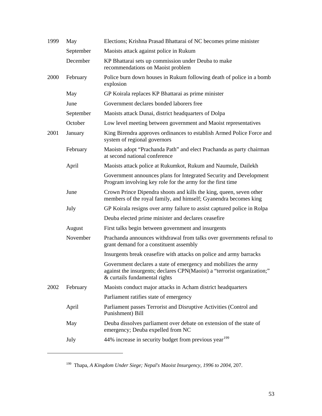| 1999 | May       | Elections; Krishna Prasad Bhattarai of NC becomes prime minister                                                                                                             |
|------|-----------|------------------------------------------------------------------------------------------------------------------------------------------------------------------------------|
|      | September | Maoists attack against police in Rukum                                                                                                                                       |
|      | December  | KP Bhattarai sets up commission under Deuba to make<br>recommendations on Maoist problem                                                                                     |
| 2000 | February  | Police burn down houses in Rukum following death of police in a bomb<br>explosion                                                                                            |
|      | May       | GP Koirala replaces KP Bhattarai as prime minister                                                                                                                           |
|      | June      | Government declares bonded laborers free                                                                                                                                     |
|      | September | Maoists attack Dunai, district headquarters of Dolpa                                                                                                                         |
|      | October   | Low level meeting between government and Maoist representatives                                                                                                              |
| 2001 | January   | King Birendra approves ordinances to establish Armed Police Force and<br>system of regional governors                                                                        |
|      | February  | Maoists adopt "Prachanda Path" and elect Prachanda as party chairman<br>at second national conference                                                                        |
|      | April     | Maoists attack police at Rukumkot, Rukum and Naumule, Dailekh                                                                                                                |
|      |           | Government announces plans for Integrated Security and Development<br>Program involving key role for the army for the first time                                             |
|      | June      | Crown Prince Dipendra shoots and kills the king, queen, seven other<br>members of the royal family, and himself; Gyanendra becomes king                                      |
|      | July      | GP Koirala resigns over army failure to assist captured police in Rolpa                                                                                                      |
|      |           | Deuba elected prime minister and declares ceasefire                                                                                                                          |
|      | August    | First talks begin between government and insurgents                                                                                                                          |
|      | November  | Prachanda announces withdrawal from talks over governments refusal to<br>grant demand for a constituent assembly                                                             |
|      |           | Insurgents break ceasefire with attacks on police and army barracks                                                                                                          |
|      |           | Government declares a state of emergency and mobilizes the army<br>against the insurgents; declares CPN(Maoist) a "terrorist organization;"<br>& curtails fundamental rights |
| 2002 | February  | Maoists conduct major attacks in Acham district headquarters                                                                                                                 |
|      |           | Parliament ratifies state of emergency                                                                                                                                       |
|      | April     | Parliament passes Terrorist and Disruptive Activities (Control and<br>Punishment) Bill                                                                                       |
|      | May       | Deuba dissolves parliament over debate on extension of the state of<br>emergency; Deuba expelled from NC                                                                     |
|      | July      | 44% increase in security budget from previous year <sup>199</sup>                                                                                                            |
|      |           |                                                                                                                                                                              |

<span id="page-57-0"></span><sup>199</sup> Thapa, *A Kingdom Under Siege; Nepal's Maoist Insurgency, 1996 to 2004*, 207.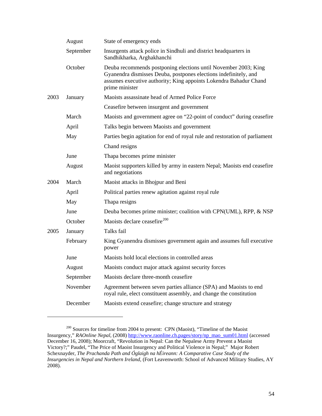|      | August    | State of emergency ends                                                                                                                                                                                                    |  |  |
|------|-----------|----------------------------------------------------------------------------------------------------------------------------------------------------------------------------------------------------------------------------|--|--|
|      | September | Insurgents attack police in Sindhuli and district headquarters in<br>Sandhikharka, Arghakhanchi                                                                                                                            |  |  |
|      | October   | Deuba recommends postponing elections until November 2003; King<br>Gyanendra dismisses Deuba, postpones elections indefinitely, and<br>assumes executive authority; King appoints Lokendra Bahadur Chand<br>prime minister |  |  |
| 2003 | January   | Maoists assassinate head of Armed Police Force                                                                                                                                                                             |  |  |
|      |           | Ceasefire between insurgent and government                                                                                                                                                                                 |  |  |
|      | March     | Maoists and government agree on "22-point of conduct" during ceasefire                                                                                                                                                     |  |  |
|      | April     | Talks begin between Maoists and government                                                                                                                                                                                 |  |  |
|      | May       | Parties begin agitation for end of royal rule and restoration of parliament                                                                                                                                                |  |  |
|      |           | Chand resigns                                                                                                                                                                                                              |  |  |
|      | June      | Thapa becomes prime minister                                                                                                                                                                                               |  |  |
|      | August    | Maoist supporters killed by army in eastern Nepal; Maoists end ceasefire<br>and negotiations                                                                                                                               |  |  |
| 2004 | March     | Maoist attacks in Bhojpur and Beni                                                                                                                                                                                         |  |  |
|      | April     | Political parties renew agitation against royal rule                                                                                                                                                                       |  |  |
|      | May       | Thapa resigns                                                                                                                                                                                                              |  |  |
|      | June      | Deuba becomes prime minister; coalition with CPN(UML), RPP, & NSP                                                                                                                                                          |  |  |
|      | October   | Maoists declare ceasefire <sup>200</sup>                                                                                                                                                                                   |  |  |
| 2005 | January   | Talks fail                                                                                                                                                                                                                 |  |  |
|      | February  | King Gyanendra dismisses government again and assumes full executive<br>power                                                                                                                                              |  |  |
|      | June      | Maoists hold local elections in controlled areas                                                                                                                                                                           |  |  |
|      | August    | Maoists conduct major attack against security forces                                                                                                                                                                       |  |  |
|      | September | Maoists declare three-month ceasefire                                                                                                                                                                                      |  |  |
|      | November  | Agreement between seven parties alliance (SPA) and Maoists to end<br>royal rule, elect constituent assembly, and change the constitution                                                                                   |  |  |
|      | December  | Maoists extend ceasefire; change structure and strategy                                                                                                                                                                    |  |  |
|      |           |                                                                                                                                                                                                                            |  |  |

<span id="page-58-0"></span><sup>&</sup>lt;sup>200</sup> Sources for timeline from 2004 to present: CPN (Maoist), "Timeline of the Maoist Insurgency," *RAOnline Nepal*, (2008) [http://www.raonline.ch.pages/story/np\\_mao\\_sum01.html](http://www.raonline.ch.pages/story/np_mao_sum01.html) (accessed December 16, 2008); Moorcraft, "Revolution in Nepal: Can the Nepalese Army Prevent a Maoist Victory?;" Paudel, "The Price of Maoist Insurgency and Political Violence in Nepal;" Major Robert Schexnayder, *The Prachanda Path and Óglaigh na hÉireann: A Comparative Case Study of the Insurgencies in Nepal and Northern Ireland,* (Fort Leavenworth: School of Advanced Military Studies, AY 2008).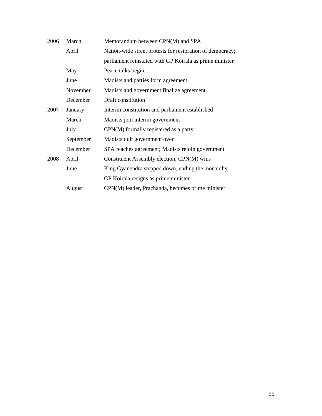| 2006 | March     | Memorandum between CPN(M) and SPA                         |
|------|-----------|-----------------------------------------------------------|
|      | April     | Nation-wide street protests for restoration of democracy; |
|      |           | parliament reinstated with GP Koirala as prime minister   |
|      | May       | Peace talks begin                                         |
|      | June      | Maoists and parties form agreement                        |
|      | November  | Maoists and government finalize agreement                 |
|      | December  | Draft constitution                                        |
| 2007 | January   | Interim constitution and parliament established           |
|      | March     | Maoists join interim government                           |
|      | July      | $CPN(M)$ formally registered as a party                   |
|      | September | Maoists quit government over                              |
|      | December  | SPA reaches agreement; Maoists rejoin government          |
| 2008 | April     | Constituent Assembly election; CPN(M) wins                |
|      | June      | King Gyanendra stepped down, ending the monarchy          |
|      |           | GP Koirala resigns as prime minister                      |
|      | August    | CPN(M) leader, Prachanda, becomes prime minister          |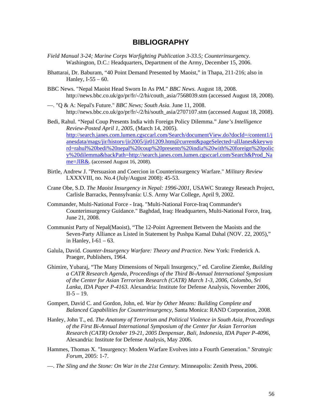# **BIBLIOGRAPHY**

- <span id="page-60-0"></span>*Field Manual 3-24; Marine Corps Warfighting Publication 3-33.5; Counterinsurgency.* Washington, D.C.: Headquarters, Department of the Army, December 15, 2006.
- Bhattarai, Dr. Baburam, "40 Point Demand Presented by Maoist," in Thapa, 211-216; also in Hanley, I-55 – 60.
- BBC News. "Nepal Maoist Head Sworn In As PM." *BBC News.* August 18, 2008. http://news.bbc.co.uk/go/pr/fr/-/2/hi/couth\_asia/7568039.stm (accessed August 18, 2008).
- —. "Q & A: Nepal's Future." *BBC News; South Asia.* June 11, 2008. http://news.bbc.co.uk/go/pr/fr/-/2/hi/south\_asia/2707107.stm (accessed August 18, 2008).
- Bedi, Rahul. "Nepal Coup Presents India with Foreign Policy Dilemma." *Jane's Intelligence Review-Posted April 1, 2005*, (March 14, 2005). [http://search.janes.com.lumen.cgsccarl.com/Search/documentView.do?docId=/content1/j](http://search.janes.com.lumen.cgsccarl.com/Search/documentView.do?docId=/content1/janesdata/mags/jir/history/jir2005/jir01209.htm@current&pageSelected=allJanes&keyword=rahul%20bedi%20nepal%20coup%20presents%20india%20with%20foreign%20policy%20dilemma&backPath=http://search.janes.com.lumen.cgsccarl.com/Search&Prod_Name=JIR&) [anesdata/mags/jir/history/jir2005/jir01209.htm@current&pageSelected=allJanes&keywo](http://search.janes.com.lumen.cgsccarl.com/Search/documentView.do?docId=/content1/janesdata/mags/jir/history/jir2005/jir01209.htm@current&pageSelected=allJanes&keyword=rahul%20bedi%20nepal%20coup%20presents%20india%20with%20foreign%20policy%20dilemma&backPath=http://search.janes.com.lumen.cgsccarl.com/Search&Prod_Name=JIR&) [rd=rahul%20bedi%20nepal%20coup%20presents%20india%20with%20foreign%20polic](http://search.janes.com.lumen.cgsccarl.com/Search/documentView.do?docId=/content1/janesdata/mags/jir/history/jir2005/jir01209.htm@current&pageSelected=allJanes&keyword=rahul%20bedi%20nepal%20coup%20presents%20india%20with%20foreign%20policy%20dilemma&backPath=http://search.janes.com.lumen.cgsccarl.com/Search&Prod_Name=JIR&) [y%20dilemma&backPath=http://search.janes.com.lumen.cgsccarl.com/Search&Prod\\_Na](http://search.janes.com.lumen.cgsccarl.com/Search/documentView.do?docId=/content1/janesdata/mags/jir/history/jir2005/jir01209.htm@current&pageSelected=allJanes&keyword=rahul%20bedi%20nepal%20coup%20presents%20india%20with%20foreign%20policy%20dilemma&backPath=http://search.janes.com.lumen.cgsccarl.com/Search&Prod_Name=JIR&) [me=JIR&](http://search.janes.com.lumen.cgsccarl.com/Search/documentView.do?docId=/content1/janesdata/mags/jir/history/jir2005/jir01209.htm@current&pageSelected=allJanes&keyword=rahul%20bedi%20nepal%20coup%20presents%20india%20with%20foreign%20policy%20dilemma&backPath=http://search.janes.com.lumen.cgsccarl.com/Search&Prod_Name=JIR&). (accessed August 16, 2008).
- Birtle, Andrew J. "Persuasion and Coercion in Counterinsurgency Warfare." *Military Review* LXXXVIII, no. No.4 (July/August 2008): 45-53.
- Crane Obe, S.D. *The Maoist Insurgency in Nepal: 1996-2001*, USAWC Strategy Reseach Project, Carlisle Barracks, Pennsylvania: U.S. Army War College, April 9, 2002.
- Commander, Multi-National Force Iraq. "Multi-National Force-Iraq Commander's Counterinsurgency Guidance." Baghdad, Iraq: Headquarters, Multi-National Force, Iraq, June 21, 2008.
- Communist Party of Nepal(Maoist), "The 12-Point Agreement Between the Maoists and the Seven-Party Alliance as Listed in Statement by Pushpa Kamal Dahal (NOV. 22, 2005)," in Hanley,  $I-61 - 63$ .
- Galula, David. *Counter-Insurgency Warfare: Theory and Practice.* New York: Frederick A. Praeger, Publishers, 1964.
- Ghimire, Yubaraj, "The Many Dimensions of Nepali Insurgency," ed. Caroline Ziemke, *Building a CATR Research Agenda, Proceedings of the Third Bi-Annual International Symposium of the Center for Asian Terrorism Research (CATR) March 1-3, 2006, Colombo, Sri Lanka*, *IDA Paper P-4163*. Alexandria: Institute for Defense Analysis, November 2006,  $II-5 - 19.$
- Gompert, David C. and Gordon, John, ed. *War by Other Means: Building Complete and Balanced Capabilities for Counterinsurgency,* Santa Monica: RAND Corporation, 2008.
- Hanley, John T., ed. *The Anatomy of Terrorism and Political Violence in South Asia, Proceedings of the First Bi-Annual International Symposium of the Center for Asian Terrorism Research (CATR) October 19-21, 2005 Denpensar, Bali, Indonesia*, *IDA Paper P-4096*, Alexandria: Institute for Defense Analysis, May 2006.
- Hammes, Thomas X. "Insurgency: Modern Warfare Evolves into a Fourth Generation." *Strategic Forum*, 2005: 1-7.
- —. *The Sling and the Stone: On War in the 21st Century.* Minneapolis: Zenith Press, 2006.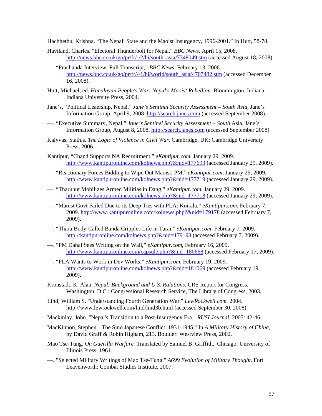Hachhethu, Krishna. "The Nepali State and the Maoist Insurgency, 1996-2001." In Hutt, 58-78.

- Haviland, Charles. "Electoral Thunderbolt for Nepal." *BBC News.* April 15, 2008. [http://news.bbc.co.uk/go/pr/fr/-/2/hi/south\\_asia/7348049.stm](http://news.bbc.co.uk/go/pr/fr/-/2/hi/south_asia/7348049.stm) (accessed August 18, 2008).
- —. "Prachanda Interview: Full Transcript," *BBC News*. February 13, 2006. [http://news.bbc.co.uk/go/pr/fr/-/1/hi/world/south\\_asia/4707482.stm](http://news.bbc.co.uk/go/pr/fr/-/1/hi/world/south_asia/4707482.stm) (accessed December 16, 2008).
- Hutt, Michael, ed. *Himalayan People's War: Nepal's Maoist Rebellion.* Bloomington, Indiana: Indiana University Press, 2004.
- Jane's, "Political Leaership, Nepal," *Jane's Sentinal Security Assessment South Asia*, Jane's Information Group, April 9, 2008. [http://search.janes.com](http://search.janes.com/) (accessed September 2008).
- —. "Executive Summary, Nepal," *Jane's Sentinel Security Assessment South* Asia, Jane's Information Group, August 8, 2008. [http://search.janes.com](http://search.janes.com/) (accessed September 2008)
- Kalyvas, Stathis. *The Logic of Violence in Civil War.* Cambridge, UK: Cambridge University Press, 2006.
- Kantipur, "Chand Supports NA Recruitment," *eKantipur.com*, January 29, 2009. <http://www.kantipuronline.com/kolnews.php?&nid=177693> (accessed January 29, 2009).
- —. "Reactionary Forces Bidding to Wipe Out Maoist: PM," *eKantipur.com*, January 29, 2009. <http://www.kantipuronline.com/kolnews.php?&nid=177719> (accessed January 29, 2009).
- —. "Tharuhut Mobilizes Armed Militias in Dang," *eKantipur.com*, January 29, 2009. <http://www.kantipuronline.com/kolnews.php?&nid=177718> (accessed January 29, 2009).
- —. "Maoist Govt Failed Due to its Deep Ties with PLA: Koirala," *eKantipur.com*, February 7, 2009.<http://www.kantipuronline.com/kolnews.php?&nid=179178>(accessed February 7, 2009).
- —. "Tharu Body-Called Banda Cripples Life in Tarai," *eKantipur.com*, February 7, 2009. <http://kantipuronline.com/kolnews.php?&nid=179193>(accessed February 7, 2009).
- —. "PM Dahal Sees Writing on the Wall," *eKantipur.com*, February 16, 2009. <http://www.kantipuronline.com/capsule.php?&nid=180668>(accessed February 17, 2009).
- —. "PLA Wants to Work in Dev Works," *eKantipur.com*, February 19, 2009. <http://www.kantipuronline.com/kolnews.php?&nid=181069> (accessed February 19, 2009).
- Kronstadt, K. Alan. *Nepal: Background and U.S. Ralations*. CRS Report for Congress, Washington, D.C.: Congressional Research Service, The Library of Congress, 2003.
- Lind, William S. "Understanding Fourth Generation War." *LewRockwell.com.* 2004. http://www.lewrockwell.com/lind/lind3b.html (accessed September 30, 2008).
- Mackinlay, John. "Nepal's Transition to a Post-Insurgency Era." *RUSI Journal*, 2007: 42-46.
- MacKinnon, Stephen. "The Sino Japanese Conflict, 1931-1945." In *A Military History of China*, by David Graff & Robin Higham, 213. Boulder: Westview Press, 2002.
- Mao Tse-Tung. *On Guerilla Warfare.* Translated by Samuel B. Griffith. Chicago: University of Illinois Press, 1961.
- —. "Selected Military Writings of Mao Tse-Tung." *A699 Evolution of Military Thought.* Fort Leavenworth: Combat Studies Institute, 2007.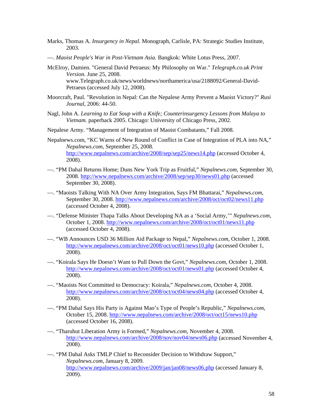- Marks, Thomas A. *Insurgency in Nepal.* Monograph, Carlisle, PA: Strategic Studies Institute, 2003.
- —. *Maoist People's War in Post-Vietnam Asia.* Bangkok: White Lotus Press, 2007.
- McElroy, Damien. "General David Petraeus: My Philosophy on War." *Telegraph.co.uk Print Version.* June 25, 2008. www.Telegraph.co.uk/news/worldnews/northamerica/usa/2188092/General-David-Petraeus (accessed July 12, 2008).
- Moorcraft, Paul. "Revolution in Nepal: Can the Nepalese Army Prevent a Maoist Victory?" *Rusi Journal*, 2006: 44-50.
- Nagl, John A. *Learning to Eat Soup with a Knife; Counterinsurgency Lessons from Malaya to Vietnam.* paperback 2005. Chicago: University of Chicago Press, 2002.
- Nepalese Army. "Management of Integration of Maoist Combatants," Fall 2008.
- Nepalnews.com, "KC Warns of New Round of Conflict in Case of Integration of PLA into NA," *Nepalnews.com*, September 25, 2008. <http://www.nepalnews.com/archive/2008/sep/sep25/news14.php>(accessed October 4, 2008).
- —. "PM Dahal Returns Home; Duns New York Trip as Fruitful," *Nepalnews.com*, September 30, 2008.<http://www.nepalnews.com/archive/2008/sep/sep30/news01.php> (accessed September 30, 2008).
- —. "Maoists Talking With NA Over Army Integration, Says FM Bhattarai," *Nepalnews.com*, September 30, 2008. <http://www.nepalnews.com/archive/2008/oct/oct02/news11.php> (accessed October 4, 2008).
- —. "Defense Minister Thapa Talks About Developing NA as a 'Social Army,'" *Nepalnews.com*, October 1, 2008. <http://www.nepalnews.com/archive/2008/oct/oct01/news11.php> (accessed October 4, 2008).
- —. "WB Announces USD 36 Million Aid Package to Nepal," *Nepalnews.com*, October 1, 2008. <http://www.nepalnews.com/archive/2008/oct/oct01/news10.php> (accessed October 1, 2008).
- —. "Koirala Says He Doesn't Want to Pull Down the Govt," *Nepalnews.com*, October 1, 2008. <http://www.nepalnews.com/archive/2008/oct/oct01/news01.php> (accessed October 4, 2008).
- —. "Maoists Not Committed to Democracy: Koirala," *Nepalnews.com*, October 4, 2008. <http://www.nepalnews.com/archive/2008/oct/oct04/news04.php> (accessed October 4, 2008).
- —. "PM Dahal Says His Party is Against Mao's Type of People's Republic," *Nepalnews.com*, October 15, 2008.<http://www.nepalnews.com/archive/2008/oct/oct15/news10.php> (accessed October 16, 2008).
- —. "Tharuhut Liberation Army is Formed," *Nepalnews.com*, November 4, 2008. <http://www.nepalnews.com/archive/2008/nov/nov04/news06.php>(accessed November 4, 2008).
- —. "PM Dahal Asks TMLP Chief to Reconsider Decision to Withdraw Support," *Nepalnews.com*, January 8, 2009. <http://www.nepalnews.com/archive/2009/jan/jan08/news06.php> (accessed January 8, 2009).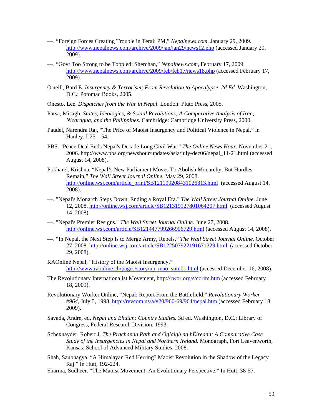- —. "Foreign Forces Creating Trouble in Terai: PM," *Nepalnews.com*, January 29, 2009. <http://www.nepalnews.com/archive/2009/jan/jan29/news12.php> (accessed January 29, 2009).
- —. "Govt Too Strong to be Toppled: Sherchan," *Nepalnews.com*, February 17, 2009. <http://www.nepalnews.com/archive/2009/feb/feb17/news18.php>(accessed February 17, 2009).
- O'neill, Bard E. *Insurgency & Terrorism; From Revolution to Apocalypse, 2d Ed.* Washington, D.C.: Potomac Books, 2005.
- Onesto, Lee. *Dispatches from the War in Nepal.* London: Pluto Press, 2005.
- Parsa, Misagh. *States, Ideologies, & Social Revolutions; A Comparative Analysis of Iran, Nicaragua, and the Philippines.* Cambridge: Cambridge University Press, 2000.
- Paudel, Narendra Raj, "The Price of Maoist Insurgency and Political Violence in Nepal," in Hanley, I-25 – 54.
- PBS. "Peace Deal Ends Nepal's Decade Long Civil War." *The Online News Hour.* November 21, 2006. http://www.pbs.org/newshour/updates/asia/july-dec06/nepal\_11-21.html (accessed August 14, 2008).
- Pokharel, Krishna. "Nepal's New Parliament Moves To Abolish Monarchy, But Hurdles Remain," *The Wall Street Journal Online.* May 29, 2008. [http://online.wsj.com/article\\_print/SB121199208431026313.html](http://online.wsj.com/article_print/SB121199208431026313.html) (accessed August 14, 2008).
- —. "Nepal's Monarch Steps Down, Ending a Royal Era." *The Wall Street Journal Online.* June 12, 2008.<http://online.wsj.com/article/SB121319127801064207.html> (accessed August 14, 2008).
- —. "Nepal's Premier Resigns." *The Wall Street Journal Online.* June 27, 2008. <http://online.wsj.com/article/SB121447799266906729.html> (accessed August 14, 2008).
- —. "In Nepal, the Next Step Is to Merge Army, Rebels," *The Wall Street Journal Online.* October 27, 2008.<http://online.wsj.com/article/SB122507922191671329.html> (accessed October 29, 2008).
- RAOnline Nepal, "History of the Maoist Insurgency," [http://www.raonline.ch/pages/story/np\\_mao\\_sum01.html](http://www.raonline.ch/pages/story/np_mao_sum01.html) (accessed December 16, 2008).
- The Revolutionary Internationalist Movement, <http://rwor.org/s/corim.htm> (accessed February 18, 2009).
- Revolutionary Worker Online, "Nepal: Report From the Battlefield," *Revolutionary Worker #964*, July 5, 1998.<http://revcom.us/a/v20/960-69/964/nepal.htm>(accessed February 18, 2009).
- Savada, Andre, ed. *Nepal and Bhutan: Country Studies.* 3d ed. Washington, D.C.: Library of Congress, Federal Research Division, 1993.
- Schexnayder, Robert J. *The Prachanda Path and Óglaigh na hÉireann: A Comparative Case Study of the Insurgencies in Nepal and Northern Ireland.* Monograph, Fort Leavenworth, Kansas: School of Advanced Military Studies, 2008.
- Shah, Saubhagya. "A Himalayan Red Herring? Maoist Revolution in the Shadow of the Legacy Raj." In Hutt, 192-224.
- Sharma, Sudheer. "The Maoist Movement: An Evolutionary Perspective." In Hutt, 38-57.